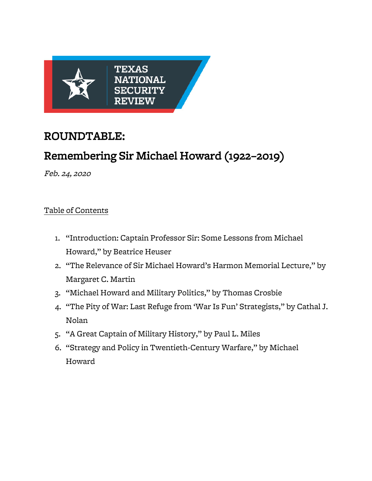

# ROUNDTABLE:

# Remembering Sir Michael Howard (1922–2019)

Feb. 24, 2020

## Table of Contents

- 1. "Introduction: Captain Professor Sir: Some Lessons from Michael Howard," by Beatrice Heuser
- 2. "The Relevance of Sir Michael Howard's Harmon Memorial Lecture," by Margaret C. Martin
- 3. "Michael Howard and Military Politics," by Thomas Crosbie
- 4. "The Pity of War: Last Refuge from 'War Is Fun' Strategists," by Cathal J. Nolan
- 5. "A Great Captain of Military History," by Paul L. Miles
- 6. "Strategy and Policy in Twentieth-Century Warfare," by Michael Howard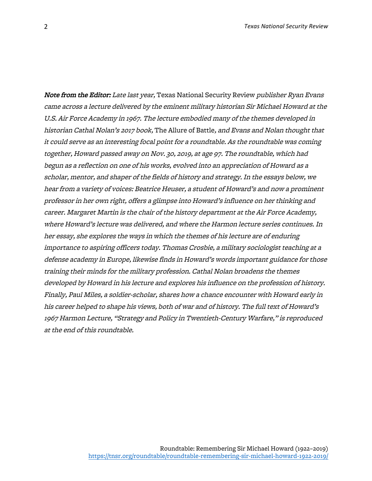Note from the Editor: Late last year, Texas National Security Review publisher Ryan Evans came across a lecture delivered by the eminent military historian Sir Michael Howard at the U.S. Air Force Academy in 1967. The lecture embodied many of the themes developed in historian Cathal Nolan's 2017 book, The Allure of Battle, and Evans and Nolan thought that it could serve as an interesting focal point for a roundtable. As the roundtable was coming together, Howard passed away on Nov. 30, 2019, at age 97. The roundtable, which had begun as a reflection on one of his works, evolved into an appreciation of Howard as a scholar, mentor, and shaper of the fields of history and strategy. In the essays below, we hear from a variety of voices: Beatrice Heuser, a student of Howard's and now a prominent professor in her own right, offers a glimpse into Howard's influence on her thinking and career. Margaret Martin is the chair of the history department at the Air Force Academy, where Howard's lecture was delivered, and where the Harmon lecture series continues. In her essay, she explores the ways in which the themes of his lecture are of enduring importance to aspiring officers today. Thomas Crosbie, a military sociologist teaching at a defense academy in Europe, likewise finds in Howard's words important guidance for those training their minds for the military profession. Cathal Nolan broadens the themes developed by Howard in his lecture and explores his influence on the profession of history. Finally, Paul Miles, a soldier-scholar, shares how a chance encounter with Howard early in his career helped to shape his views, both of war and of history. The full text of Howard's 1967 Harmon Lecture, "Strategy and Policy in Twentieth-Century Warfare," is reproduced at the end of this roundtable.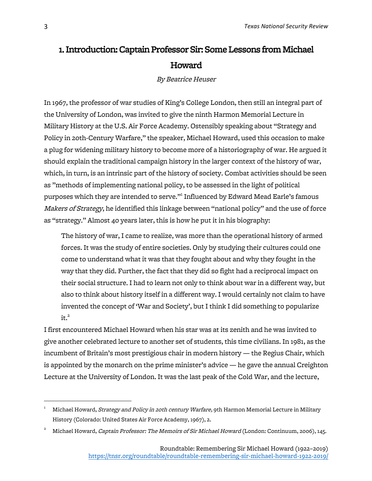## 1. Introduction: Captain Professor Sir: Some Lessons from Michael Howard

By Beatrice Heuser

In 1967, the professor of war studies of King's College London, then still an integral part of the University of London, was invited to give the ninth Harmon Memorial Lecture in Military History at the U.S. Air Force Academy. Ostensibly speaking about "Strategy and Policy in 20th-Century Warfare," the speaker, Michael Howard, used this occasion to make a plug for widening military history to become more of a historiography of war. He argued it should explain the traditional campaign history in the larger context of the history of war, which, in turn, is an intrinsic part of the history of society. Combat activities should be seen as "methods of implementing national policy, to be assessed in the light of political purposes which they are intended to serve." $^{\rm h}$  Influenced by Edward Mead Earle's famous Makers of Strategy, he identified this linkage between "national policy" and the use of force as "strategy." Almost 40 years later, this is how he put it in his biography:

The history of war, I came to realize, was more than the operational history of armed forces. It was the study of entire societies. Only by studying their cultures could one come to understand what it was that they fought about and why they fought in the way that they did. Further, the fact that they did so fight had a reciprocal impact on their social structure. I had to learn not only to think about war in a different way, but also to think about history itself in a different way. I would certainly not claim to have invented the concept of 'War and Society', but I think I did something to popularize  $it^2$ 

I first encountered Michael Howard when his star was at its zenith and he was invited to give another celebrated lecture to another set of students, this time civilians. In 1981, as the incumbent of Britain's most prestigious chair in modern history — the Regius Chair, which is appointed by the monarch on the prime minister's advice — he gave the annual Creighton Lecture at the University of London. It was the last peak of the Cold War, and the lecture,

Michael Howard, Strategy and Policy in 20th century Warfare, 9th Harmon Memorial Lecture in Military History (Colorado: United States Air Force Academy, 1967), 2.

<sup>2</sup> Michael Howard, Captain Professor: The Memoirs of Sir Michael Howard (London: Continuum, 2006), 145.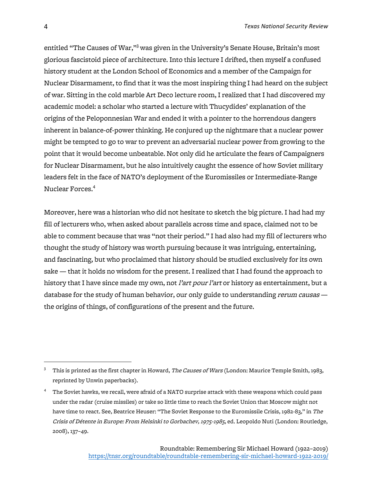entitled "The Causes of War,"<sup>3</sup> was given in the University's Senate House, Britain's most glorious fascistoid piece of architecture. Into this lecture I drifted, then myself a confused history student at the London School of Economics and a member of the Campaign for Nuclear Disarmament, to find that it was the most inspiring thing I had heard on the subject of war. Sitting in the cold marble Art Deco lecture room, I realized that I had discovered my academic model: a scholar who started a lecture with Thucydides' explanation of the origins of the Peloponnesian War and ended it with a pointer to the horrendous dangers inherent in balance-of-power thinking. He conjured up the nightmare that a nuclear power might be tempted to go to war to prevent an adversarial nuclear power from growing to the point that it would become unbeatable. Not only did he articulate the fears of Campaigners for Nuclear Disarmament, but he also intuitively caught the essence of how Soviet military leaders felt in the face of NATO's deployment of the Euromissiles or Intermediate-Range Nuclear Forces.4

Moreover, here was a historian who did not hesitate to sketch the big picture. I had had my fill of lecturers who, when asked about parallels across time and space, claimed not to be able to comment because that was "not their period." I had also had my fill of lecturers who thought the study of history was worth pursuing because it was intriguing, entertaining, and fascinating, but who proclaimed that history should be studied exclusively for its own sake — that it holds no wisdom for the present. I realized that I had found the approach to history that I have since made my own, not *l'art pour l'art* or history as entertainment, but a database for the study of human behavior, our only guide to understanding rerum causas the origins of things, of configurations of the present and the future.

This is printed as the first chapter in Howard, The Causes of Wars (London: Maurice Temple Smith, 1983, reprinted by Unwin paperbacks).

The Soviet hawks, we recall, were afraid of a NATO surprise attack with these weapons which could pass under the radar (cruise missiles) or take so little time to reach the Soviet Union that Moscow might not have time to react. See, Beatrice Heuser: "The Soviet Response to the Euromissile Crisis, 1982-83," in The Crisis of Détente in Europe: From Helsinki to Gorbachev, 1975-1985, ed. Leopoldo Nuti (London: Routledge, 2008), 137–49.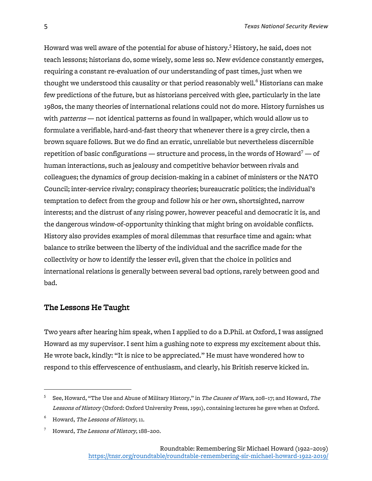Howard was well aware of the potential for abuse of history.<sup>5</sup> History, he said, does not teach lessons; historians do, some wisely, some less so. New evidence constantly emerges, requiring a constant re-evaluation of our understanding of past times, just when we thought we understood this causality or that period reasonably well.<sup>6</sup> Historians can make few predictions of the future, but as historians perceived with glee, particularly in the late 1980s, the many theories of international relations could not do more. History furnishes us with patterns — not identical patterns as found in wallpaper, which would allow us to formulate a verifiable, hard-and-fast theory that whenever there is a grey circle, then a brown square follows. But we do find an erratic, unreliable but nevertheless discernible repetition of basic configurations — structure and process, in the words of Howard<sup>7</sup> — of human interactions, such as jealousy and competitive behavior between rivals and colleagues; the dynamics of group decision-making in a cabinet of ministers or the NATO Council; inter-service rivalry; conspiracy theories; bureaucratic politics; the individual's temptation to defect from the group and follow his or her own, shortsighted, narrow interests; and the distrust of any rising power, however peaceful and democratic it is, and the dangerous window-of-opportunity thinking that might bring on avoidable conflicts. History also provides examples of moral dilemmas that resurface time and again: what balance to strike between the liberty of the individual and the sacrifice made for the collectivity or how to identify the lesser evil, given that the choice in politics and international relations is generally between several bad options, rarely between good and bad.

#### The Lessons He Taught

Two years after hearing him speak, when I applied to do a D.Phil. at Oxford, I was assigned Howard as my supervisor. I sent him a gushing note to express my excitement about this. He wrote back, kindly: "It is nice to be appreciated." He must have wondered how to respond to this effervescence of enthusiasm, and clearly, his British reserve kicked in.

 $^5$  See, Howard, "The Use and Abuse of Military History," in *The Causes of Wars*, 208–17; and Howard, *The* Lessons of History (Oxford: Oxford University Press, 1991), containing lectures he gave when at Oxford.

<sup>&</sup>lt;sup>6</sup> Howard, The Lessons of History, 11.

Howard, The Lessons of History, 188-200.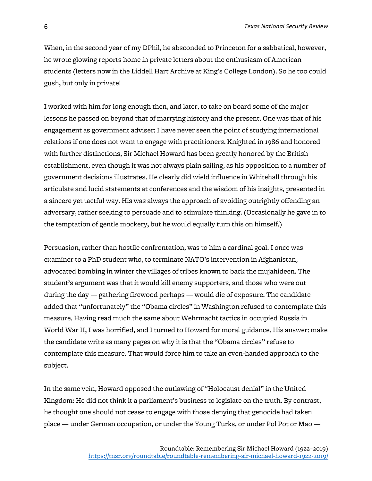When, in the second year of my DPhil, he absconded to Princeton for a sabbatical, however, he wrote glowing reports home in private letters about the enthusiasm of American students (letters now in the Liddell Hart Archive at King's College London). So he too could gush, but only in private!

I worked with him for long enough then, and later, to take on board some of the major lessons he passed on beyond that of marrying history and the present. One was that of his engagement as government adviser: I have never seen the point of studying international relations if one does not want to engage with practitioners. Knighted in 1986 and honored with further distinctions, Sir Michael Howard has been greatly honored by the British establishment, even though it was not always plain sailing, as his opposition to a number of government decisions illustrates. He clearly did wield influence in Whitehall through his articulate and lucid statements at conferences and the wisdom of his insights, presented in a sincere yet tactful way. His was always the approach of avoiding outrightly offending an adversary, rather seeking to persuade and to stimulate thinking. (Occasionally he gave in to the temptation of gentle mockery, but he would equally turn this on himself.)

Persuasion, rather than hostile confrontation, was to him a cardinal goal. I once was examiner to a PhD student who, to terminate NATO's intervention in Afghanistan, advocated bombing in winter the villages of tribes known to back the mujahideen. The student's argument was that it would kill enemy supporters, and those who were out during the day — gathering firewood perhaps — would die of exposure. The candidate added that "unfortunately" the "Obama circles" in Washington refused to contemplate this measure. Having read much the same about Wehrmacht tactics in occupied Russia in World War II, I was horrified, and I turned to Howard for moral guidance. His answer: make the candidate write as many pages on why it is that the "Obama circles" refuse to contemplate this measure. That would force him to take an even-handed approach to the subject.

In the same vein, Howard opposed the outlawing of "Holocaust denial" in the United Kingdom: He did not think it a parliament's business to legislate on the truth. By contrast, he thought one should not cease to engage with those denying that genocide had taken place — under German occupation, or under the Young Turks, or under Pol Pot or Mao —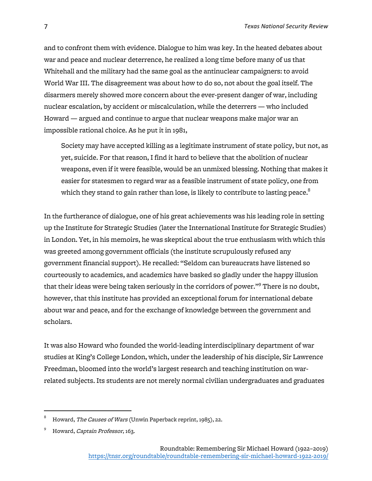and to confront them with evidence. Dialogue to him was key. In the heated debates about war and peace and nuclear deterrence, he realized a long time before many of us that Whitehall and the military had the same goal as the antinuclear campaigners: to avoid World War III. The disagreement was about how to do so, not about the goal itself. The disarmers merely showed more concern about the ever-present danger of war, including nuclear escalation, by accident or miscalculation, while the deterrers — who included Howard — argued and continue to argue that nuclear weapons make major war an impossible rational choice. As he put it in 1981,

Society may have accepted killing as a legitimate instrument of state policy, but not, as yet, suicide. For that reason, I find it hard to believe that the abolition of nuclear weapons, even if it were feasible, would be an unmixed blessing. Nothing that makes it easier for statesmen to regard war as a feasible instrument of state policy, one from which they stand to gain rather than lose, is likely to contribute to lasting peace.<sup>8</sup>

In the furtherance of dialogue, one of his great achievements was his leading role in setting up the Institute for Strategic Studies (later the International Institute for Strategic Studies) in London. Yet, in his memoirs, he was skeptical about the true enthusiasm with which this was greeted among government officials (the institute scrupulously refused any government financial support). He recalled: "Seldom can bureaucrats have listened so courteously to academics, and academics have basked so gladly under the happy illusion that their ideas were being taken seriously in the corridors of power."<sup>9</sup> There is no doubt, however, that this institute has provided an exceptional forum for international debate about war and peace, and for the exchange of knowledge between the government and scholars.

It was also Howard who founded the world-leading interdisciplinary department of war studies at King's College London, which, under the leadership of his disciple, Sir Lawrence Freedman, bloomed into the world's largest research and teaching institution on warrelated subjects. Its students are not merely normal civilian undergraduates and graduates

Howard, The Causes of Wars (Unwin Paperback reprint, 1985), 22.

Howard, Captain Professor, 163.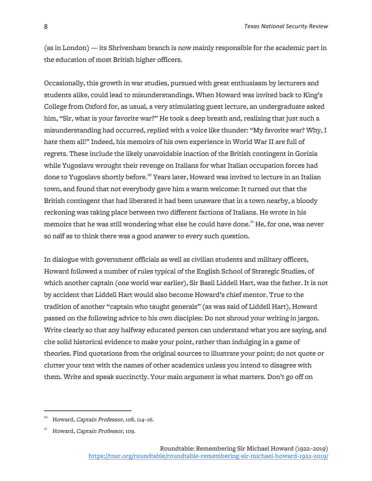(as in London) — its Shrivenham branch is now mainly responsible for the academic part in the education of most British higher officers.

Occasionally, this growth in war studies, pursued with great enthusiasm by lecturers and students alike, could lead to misunderstandings. When Howard was invited back to King's College from Oxford for, as usual, a very stimulating guest lecture, an undergraduate asked him, "Sir, what is your favorite war?" He took a deep breath and, realizing that just such a misunderstanding had occurred, replied with a voice like thunder: "My favorite war? Why, I hate them all!" Indeed, his memoirs of his own experience in World War II are full of regrets. These include the likely unavoidable inaction of the British contingent in Gorizia while Yugoslavs wrought their revenge on Italians for what Italian occupation forces had done to Yugoslavs shortly before.<sup>10</sup> Years later, Howard was invited to lecture in an Italian town, and found that not everybody gave him a warm welcome: It turned out that the British contingent that had liberated it had been unaware that in a town nearby, a bloody reckoning was taking place between two different factions of Italians. He wrote in his memoirs that he was still wondering what else he could have done.<sup>11</sup> He, for one, was never so naïf as to think there was a good answer to every such question.

In dialogue with government officials as well as civilian students and military officers, Howard followed a number of rules typical of the English School of Strategic Studies, of which another captain (one world war earlier), Sir Basil Liddell Hart, was the father. It is not by accident that Liddell Hart would also become Howard's chief mentor. True to the tradition of another "captain who taught generals" (as was said of Liddell Hart), Howard passed on the following advice to his own disciples: Do not shroud your writing in jargon. Write clearly so that any halfway educated person can understand what you are saying, and cite solid historical evidence to make your point, rather than indulging in a game of theories. Find quotations from the original sources to illustrate your point; do not quote or clutter your text with the names of other academics unless you intend to disagree with them. Write and speak succinctly. Your main argument is what matters. Don't go off on

Howard, Captain Professor, 108, 114-16.

Howard, Captain Professor, 109.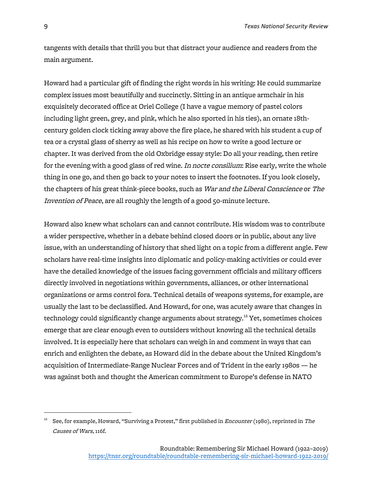tangents with details that thrill you but that distract your audience and readers from the main argument.

Howard had a particular gift of finding the right words in his writing: He could summarize complex issues most beautifully and succinctly. Sitting in an antique armchair in his exquisitely decorated office at Oriel College (I have a vague memory of pastel colors including light green, grey, and pink, which he also sported in his ties), an ornate 18thcentury golden clock ticking away above the fire place, he shared with his student a cup of tea or a crystal glass of sherry as well as his recipe on how to write a good lecture or chapter. It was derived from the old Oxbridge essay style: Do all your reading, then retire for the evening with a good glass of red wine. In nocte consilium: Rise early, write the whole thing in one go, and then go back to your notes to insert the footnotes. If you look closely, the chapters of his great think-piece books, such as *War and the Liberal Conscience* or The Invention of Peace, are all roughly the length of a good 50-minute lecture.

Howard also knew what scholars can and cannot contribute. His wisdom was to contribute a wider perspective, whether in a debate behind closed doors or in public, about any live issue, with an understanding of history that shed light on a topic from a different angle. Few scholars have real-time insights into diplomatic and policy-making activities or could ever have the detailed knowledge of the issues facing government officials and military officers directly involved in negotiations within governments, alliances, or other international organizations or arms control fora. Technical details of weapons systems, for example, are usually the last to be declassified. And Howard, for one, was acutely aware that changes in technology could significantly change arguments about strategy.<sup>12</sup> Yet, sometimes choices emerge that are clear enough even to outsiders without knowing all the technical details involved. It is especially here that scholars can weigh in and comment in ways that can enrich and enlighten the debate, as Howard did in the debate about the United Kingdom's acquisition of Intermediate-Range Nuclear Forces and of Trident in the early 1980s — he was against both and thought the American commitment to Europe's defense in NATO

See, for example, Howard, "Surviving a Protest," first published in *Encounter* (1980), reprinted in The Causes of Wars, 116f.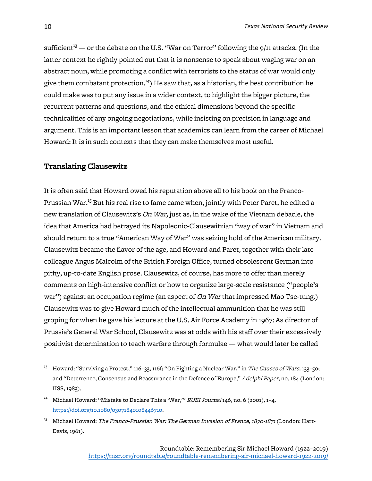sufficient<sup>13</sup> — or the debate on the U.S. "War on Terror" following the  $9/11$  attacks. (In the latter context he rightly pointed out that it is nonsense to speak about waging war on an abstract noun, while promoting a conflict with terrorists to the status of war would only give them combatant protection.<sup>14</sup>) He saw that, as a historian, the best contribution he could make was to put any issue in a wider context, to highlight the bigger picture, the recurrent patterns and questions, and the ethical dimensions beyond the specific technicalities of any ongoing negotiations, while insisting on precision in language and argument. This is an important lesson that academics can learn from the career of Michael Howard: It is in such contexts that they can make themselves most useful.

#### Translating Clausewitz

 

It is often said that Howard owed his reputation above all to his book on the Franco-Prussian War.<sup>15</sup> But his real rise to fame came when, jointly with Peter Paret, he edited a new translation of Clausewitz's On War, just as, in the wake of the Vietnam debacle, the idea that America had betrayed its Napoleonic-Clausewitzian "way of war" in Vietnam and should return to a true "American Way of War" was seizing hold of the American military. Clausewitz became the flavor of the age, and Howard and Paret, together with their late colleague Angus Malcolm of the British Foreign Office, turned obsolescent German into pithy, up-to-date English prose. Clausewitz, of course, has more to offer than merely comments on high-intensive conflict or how to organize large-scale resistance ("people's war") against an occupation regime (an aspect of On War that impressed Mao Tse-tung.) Clausewitz was to give Howard much of the intellectual ammunition that he was still groping for when he gave his lecture at the U.S. Air Force Academy in 1967: As director of Prussia's General War School, Clausewitz was at odds with his staff over their excessively positivist determination to teach warfare through formulae — what would later be called

<sup>&</sup>lt;sup>13</sup> Howard: "Surviving a Protest," 116-33, 116f; "On Fighting a Nuclear War," in The Causes of Wars, 133-50; and "Deterrence, Consensus and Reassurance in the Defence of Europe," Adelphi Paper, no. 184 (London: IISS, 1983).

 $14$  Michael Howard: "Mistake to Declare This a 'War,'" *RUSI Journal* 146, no. 6 (2001), 1–4, https://doi.org/10.1080/03071840108446710.

<sup>&</sup>lt;sup>15</sup> Michael Howard: *The Franco-Prussian War: The German Invasion of France, 1870-1871* (London: Hart-Davis, 1961).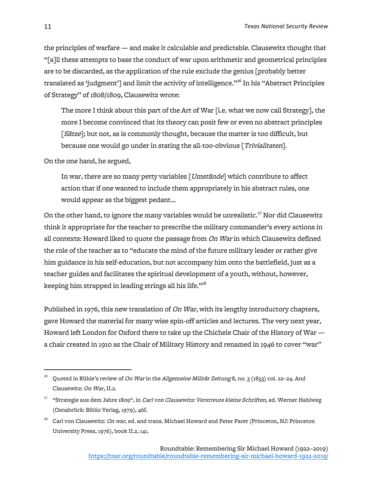the principles of warfare — and make it calculable and predictable. Clausewitz thought that "[a]ll these attempts to base the conduct of war upon arithmetic and geometrical principles are to be discarded, as the application of the rule exclude the genius [probably better translated as 'judgment'] and limit the activity of intelligence."<sup>16</sup> In his "Abstract Principles of Strategy" of 1808/1809, Clausewitz wrote:

The more I think about this part of the Art of War [i.e. what we now call Strategy], the more I become convinced that its theory can posit few or even no abstract principles [Sätze]; but not, as is commonly thought, because the matter is too difficult, but because one would go under in stating the all-too-obvious [Trivialitaten].

On the one hand, he argued,

 

In war, there are so many petty variables  $[Unstände]$  which contribute to affect action that if one wanted to include them appropriately in his abstract rules, one would appear as the biggest pedant...

On the other hand, to ignore the many variables would be unrealistic.<sup>17</sup> Nor did Clausewitz think it appropriate for the teacher to prescribe the military commander's every actions in all contexts: Howard liked to quote the passage from On War in which Clausewitz defined the role of the teacher as to "educate the mind of the future military leader or rather give him guidance in his self-education, but not accompany him onto the battlefield, just as a teacher guides and facilitates the spiritual development of a youth, without, however, keeping him strapped in leading strings all his life."<sup>18</sup>

Published in 1976, this new translation of *On War*, with its lengthy introductory chapters, gave Howard the material for many wise spin-off articles and lectures. The very next year, Howard left London for Oxford there to take up the Chichele Chair of the History of War a chair created in 1910 as the Chair of Military History and renamed in 1946 to cover "war"

Quoted in Rühle's review of On War in the Allgemeine Militär Zeitung 8, no. 3 (1833) col. 22-24. And Clausewitz: On War, II.2.

<sup>&</sup>lt;sup>17</sup> "Strategie aus dem Jahre 1809", in *Carl von Clausewitz: Verstreute kleine Schriften*, ed. Werner Hahlweg (Osnabrück: Biblio Verlag, 1979), 46f.

Carl von Clausewitz: On war, ed. and trans. Michael Howard and Peter Paret (Princeton, NJ: Princeton University Press, 1976), book II.2, 141.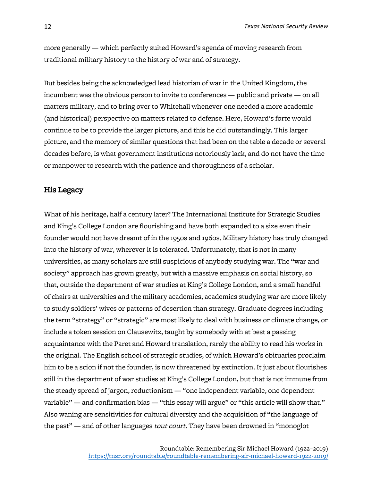more generally — which perfectly suited Howard's agenda of moving research from traditional military history to the history of war and of strategy.

But besides being the acknowledged lead historian of war in the United Kingdom, the incumbent was the obvious person to invite to conferences — public and private — on all matters military, and to bring over to Whitehall whenever one needed a more academic (and historical) perspective on matters related to defense. Here, Howard's forte would continue to be to provide the larger picture, and this he did outstandingly. This larger picture, and the memory of similar questions that had been on the table a decade or several decades before, is what government institutions notoriously lack, and do not have the time or manpower to research with the patience and thoroughness of a scholar.

#### His Legacy

What of his heritage, half a century later? The International Institute for Strategic Studies and King's College London are flourishing and have both expanded to a size even their founder would not have dreamt of in the 1950s and 1960s. Military history has truly changed into the history of war, wherever it is tolerated. Unfortunately, that is not in many universities, as many scholars are still suspicious of anybody studying war. The "war and society" approach has grown greatly, but with a massive emphasis on social history, so that, outside the department of war studies at King's College London, and a small handful of chairs at universities and the military academies, academics studying war are more likely to study soldiers' wives or patterns of desertion than strategy. Graduate degrees including the term "strategy" or "strategic" are most likely to deal with business or climate change, or include a token session on Clausewitz, taught by somebody with at best a passing acquaintance with the Paret and Howard translation, rarely the ability to read his works in the original. The English school of strategic studies, of which Howard's obituaries proclaim him to be a scion if not the founder, is now threatened by extinction. It just about flourishes still in the department of war studies at King's College London, but that is not immune from the steady spread of jargon, reductionism — "one independent variable, one dependent variable" — and confirmation bias — "this essay will argue" or "this article will show that." Also waning are sensitivities for cultural diversity and the acquisition of "the language of the past" — and of other languages tout court. They have been drowned in "monoglot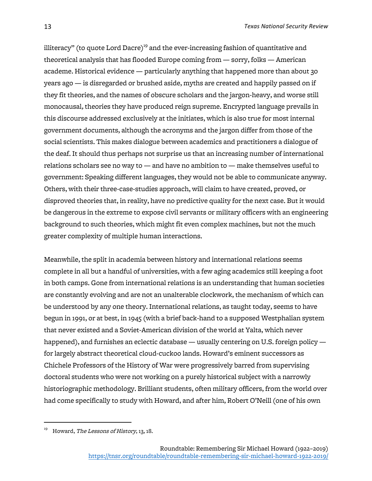illiteracy" (to quote Lord Dacre)<sup>19</sup> and the ever-increasing fashion of quantitative and theoretical analysis that has flooded Europe coming from — sorry, folks — American academe. Historical evidence — particularly anything that happened more than about 30 years ago — is disregarded or brushed aside, myths are created and happily passed on if they fit theories, and the names of obscure scholars and the jargon-heavy, and worse still monocausal, theories they have produced reign supreme. Encrypted language prevails in this discourse addressed exclusively at the initiates, which is also true for most internal government documents, although the acronyms and the jargon differ from those of the social scientists. This makes dialogue between academics and practitioners a dialogue of the deaf. It should thus perhaps not surprise us that an increasing number of international relations scholars see no way to — and have no ambition to — make themselves useful to government: Speaking different languages, they would not be able to communicate anyway. Others, with their three-case-studies approach, will claim to have created, proved, or disproved theories that, in reality, have no predictive quality for the next case. But it would be dangerous in the extreme to expose civil servants or military officers with an engineering background to such theories, which might fit even complex machines, but not the much greater complexity of multiple human interactions.

Meanwhile, the split in academia between history and international relations seems complete in all but a handful of universities, with a few aging academics still keeping a foot in both camps. Gone from international relations is an understanding that human societies are constantly evolving and are not an unalterable clockwork, the mechanism of which can be understood by any one theory. International relations, as taught today, seems to have begun in 1991, or at best, in 1945 (with a brief back-hand to a supposed Westphalian system that never existed and a Soviet-American division of the world at Yalta, which never happened), and furnishes an eclectic database — usually centering on U.S. foreign policy for largely abstract theoretical cloud-cuckoo lands. Howard's eminent successors as Chichele Professors of the History of War were progressively barred from supervising doctoral students who were not working on a purely historical subject with a narrowly historiographic methodology. Brilliant students, often military officers, from the world over had come specifically to study with Howard, and after him, Robert O'Neill (one of his own

Howard, The Lessons of History, 13, 18.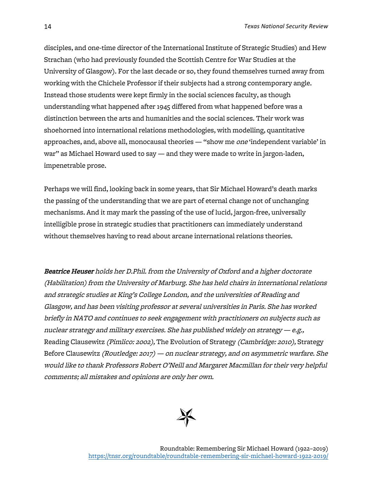disciples, and one-time director of the International Institute of Strategic Studies) and Hew Strachan (who had previously founded the Scottish Centre for War Studies at the University of Glasgow). For the last decade or so, they found themselves turned away from working with the Chichele Professor if their subjects had a strong contemporary angle. Instead those students were kept firmly in the social sciences faculty, as though understanding what happened after 1945 differed from what happened before was a distinction between the arts and humanities and the social sciences. Their work was shoehorned into international relations methodologies, with modelling, quantitative approaches, and, above all, monocausal theories — "show me *one* 'independent variable' in war" as Michael Howard used to say — and they were made to write in jargon-laden, impenetrable prose.

Perhaps we will find, looking back in some years, that Sir Michael Howard's death marks the passing of the understanding that we are part of eternal change not of unchanging mechanisms. And it may mark the passing of the use of lucid, jargon-free, universally intelligible prose in strategic studies that practitioners can immediately understand without themselves having to read about arcane international relations theories.

Beatrice Heuser holds her D.Phil. from the University of Oxford and a higher doctorate (Habilitation) from the University of Marburg. She has held chairs in international relations and strategic studies at King's College London, and the universities of Reading and Glasgow, and has been visiting professor at several universities in Paris. She has worked briefly in NATO and continues to seek engagement with practitioners on subjects such as nuclear strategy and military exercises. She has published widely on strategy — e.g., Reading Clausewitz (Pimlico: 2002), The Evolution of Strategy (Cambridge: 2010), Strategy Before Clausewitz (Routledge: 2017) — on nuclear strategy, and on asymmetric warfare. She would like to thank Professors Robert O'Neill and Margaret Macmillan for their very helpful comments; all mistakes and opinions are only her own.

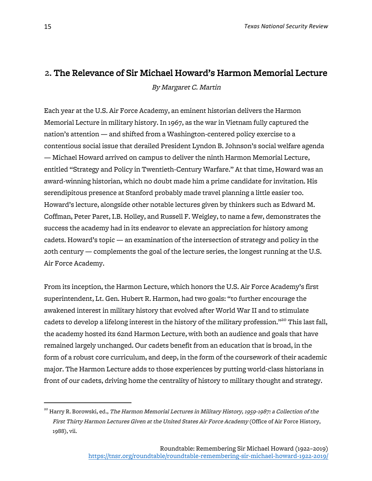## 2. The Relevance of Sir Michael Howard's Harmon Memorial Lecture By Margaret C. Martin

Each year at the U.S. Air Force Academy, an eminent historian delivers the Harmon Memorial Lecture in military history. In 1967, as the war in Vietnam fully captured the nation's attention — and shifted from a Washington-centered policy exercise to a contentious social issue that derailed President Lyndon B. Johnson's social welfare agenda — Michael Howard arrived on campus to deliver the ninth Harmon Memorial Lecture, entitled "Strategy and Policy in Twentieth-Century Warfare." At that time, Howard was an award-winning historian, which no doubt made him a prime candidate for invitation. His serendipitous presence at Stanford probably made travel planning a little easier too. Howard's lecture, alongside other notable lectures given by thinkers such as Edward M. Coffman, Peter Paret, I.B. Holley, and Russell F. Weigley, to name a few, demonstrates the success the academy had in its endeavor to elevate an appreciation for history among cadets. Howard's topic — an examination of the intersection of strategy and policy in the 20th century — complements the goal of the lecture series, the longest running at the U.S. Air Force Academy.

From its inception, the Harmon Lecture, which honors the U.S. Air Force Academy's first superintendent, Lt. Gen. Hubert R. Harmon, had two goals: "to further encourage the awakened interest in military history that evolved after World War II and to stimulate cadets to develop a lifelong interest in the history of the military profession."<sup>20</sup> This last fall, the academy hosted its 62nd Harmon Lecture, with both an audience and goals that have remained largely unchanged. Our cadets benefit from an education that is broad, in the form of a robust core curriculum, and deep, in the form of the coursework of their academic major. The Harmon Lecture adds to those experiences by putting world-class historians in front of our cadets, driving home the centrality of history to military thought and strategy.

 $^{20}$  Harry R. Borowski, ed., *The Harmon Memorial Lectures in Military History, 1959-1987: a Collection of the* First Thirty Harmon Lectures Given at the United States Air Force Academy (Office of Air Force History, 1988), vii.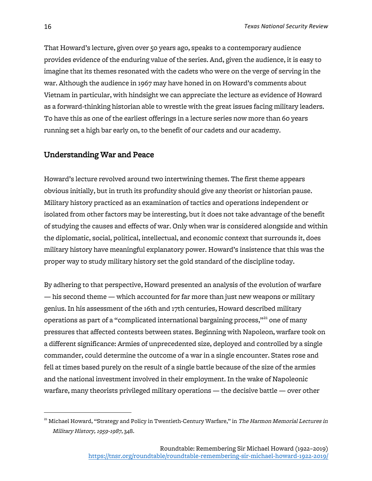That Howard's lecture, given over 50 years ago, speaks to a contemporary audience provides evidence of the enduring value of the series. And, given the audience, it is easy to imagine that its themes resonated with the cadets who were on the verge of serving in the war. Although the audience in 1967 may have honed in on Howard's comments about Vietnam in particular, with hindsight we can appreciate the lecture as evidence of Howard as a forward-thinking historian able to wrestle with the great issues facing military leaders. To have this as one of the earliest offerings in a lecture series now more than 60 years running set a high bar early on, to the benefit of our cadets and our academy.

#### Understanding War and Peace

 

Howard's lecture revolved around two intertwining themes. The first theme appears obvious initially, but in truth its profundity should give any theorist or historian pause. Military history practiced as an examination of tactics and operations independent or isolated from other factors may be interesting, but it does not take advantage of the benefit of studying the causes and effects of war. Only when war is considered alongside and within the diplomatic, social, political, intellectual, and economic context that surrounds it, does military history have meaningful explanatory power. Howard's insistence that this was the proper way to study military history set the gold standard of the discipline today.

By adhering to that perspective, Howard presented an analysis of the evolution of warfare — his second theme — which accounted for far more than just new weapons or military genius. In his assessment of the 16th and 17th centuries, Howard described military operations as part of a "complicated international bargaining process,"<sup>21</sup> one of many pressures that affected contests between states. Beginning with Napoleon, warfare took on a different significance: Armies of unprecedented size, deployed and controlled by a single commander, could determine the outcome of a war in a single encounter. States rose and fell at times based purely on the result of a single battle because of the size of the armies and the national investment involved in their employment. In the wake of Napoleonic warfare, many theorists privileged military operations — the decisive battle — over other

<sup>&</sup>lt;sup>21</sup> Michael Howard, "Strategy and Policy in Twentieth-Century Warfare," in *The Harmon Memorial Lectures in* Military History, 1959-1987, 348.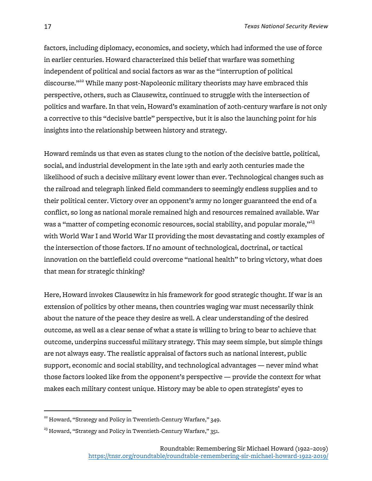factors, including diplomacy, economics, and society, which had informed the use of force in earlier centuries. Howard characterized this belief that warfare was something independent of political and social factors as war as the "interruption of political discourse."<sup>22</sup> While many post-Napoleonic military theorists may have embraced this perspective, others, such as Clausewitz, continued to struggle with the intersection of politics and warfare. In that vein, Howard's examination of 20th-century warfare is not only a corrective to this "decisive battle" perspective, but it is also the launching point for his insights into the relationship between history and strategy.

Howard reminds us that even as states clung to the notion of the decisive battle, political, social, and industrial development in the late 19th and early 20th centuries made the likelihood of such a decisive military event lower than ever. Technological changes such as the railroad and telegraph linked field commanders to seemingly endless supplies and to their political center. Victory over an opponent's army no longer guaranteed the end of a conflict, so long as national morale remained high and resources remained available. War was a "matter of competing economic resources, social stability, and popular morale,"<sup>23</sup> with World War I and World War II providing the most devastating and costly examples of the intersection of those factors. If no amount of technological, doctrinal, or tactical innovation on the battlefield could overcome "national health" to bring victory, what does that mean for strategic thinking?

Here, Howard invokes Clausewitz in his framework for good strategic thought. If war is an extension of politics by other means, then countries waging war must necessarily think about the nature of the peace they desire as well. A clear understanding of the desired outcome, as well as a clear sense of what a state is willing to bring to bear to achieve that outcome, underpins successful military strategy. This may seem simple, but simple things are not always easy. The realistic appraisal of factors such as national interest, public support, economic and social stability, and technological advantages — never mind what those factors looked like from the opponent's perspective — provide the context for what makes each military contest unique. History may be able to open strategists' eyes to

 $22$  Howard, "Strategy and Policy in Twentieth-Century Warfare," 349.

<sup>&</sup>lt;sup>23</sup> Howard, "Strategy and Policy in Twentieth-Century Warfare," 351.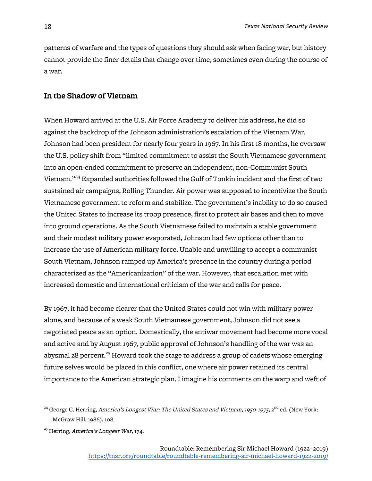patterns of warfare and the types of questions they should ask when facing war, but history cannot provide the finer details that change over time, sometimes even during the course of a war.

#### In the Shadow of Vietnam

When Howard arrived at the U.S. Air Force Academy to deliver his address, he did so against the backdrop of the Johnson administration's escalation of the Vietnam War. Johnson had been president for nearly four years in 1967. In his first 18 months, he oversaw the U.S. policy shift from "limited commitment to assist the South Vietnamese government into an open-ended commitment to preserve an independent, non-Communist South Vietnam."<sup>24</sup> Expanded authorities followed the Gulf of Tonkin incident and the first of two sustained air campaigns, Rolling Thunder. Air power was supposed to incentivize the South Vietnamese government to reform and stabilize. The government's inability to do so caused the United States to increase its troop presence, first to protect air bases and then to move into ground operations. As the South Vietnamese failed to maintain a stable government and their modest military power evaporated, Johnson had few options other than to increase the use of American military force. Unable and unwilling to accept a communist South Vietnam, Johnson ramped up America's presence in the country during a period characterized as the "Americanization" of the war. However, that escalation met with increased domestic and international criticism of the war and calls for peace.

By 1967, it had become clearer that the United States could not win with military power alone, and because of a weak South Vietnamese government, Johnson did not see a negotiated peace as an option. Domestically, the antiwar movement had become more vocal and active and by August 1967, public approval of Johnson's handling of the war was an abysmal 28 percent.<sup>25</sup> Howard took the stage to address a group of cadets whose emerging future selves would be placed in this conflict, one where air power retained its central importance to the American strategic plan. I imagine his comments on the warp and weft of

 $^{24}$  George C. Herring, *America's Longest War: The United States and Vietnam, 1950-1975,* 2 $^{\rm nd}$  ed. (New York: McGraw Hill, 1986), 108.

<sup>&</sup>lt;sup>25</sup> Herring, America's Longest War, 174.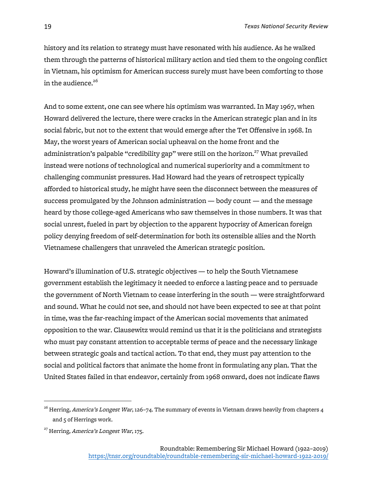history and its relation to strategy must have resonated with his audience. As he walked them through the patterns of historical military action and tied them to the ongoing conflict in Vietnam, his optimism for American success surely must have been comforting to those in the audience.<sup>26</sup>

And to some extent, one can see where his optimism was warranted. In May 1967, when Howard delivered the lecture, there were cracks in the American strategic plan and in its social fabric, but not to the extent that would emerge after the Tet Offensive in 1968. In May, the worst years of American social upheaval on the home front and the administration's palpable "credibility gap" were still on the horizon.<sup>27</sup> What prevailed instead were notions of technological and numerical superiority and a commitment to challenging communist pressures. Had Howard had the years of retrospect typically afforded to historical study, he might have seen the disconnect between the measures of success promulgated by the Johnson administration — body count — and the message heard by those college-aged Americans who saw themselves in those numbers. It was that social unrest, fueled in part by objection to the apparent hypocrisy of American foreign policy denying freedom of self-determination for both its ostensible allies and the North Vietnamese challengers that unraveled the American strategic position.

Howard's illumination of U.S. strategic objectives — to help the South Vietnamese government establish the legitimacy it needed to enforce a lasting peace and to persuade the government of North Vietnam to cease interfering in the south — were straightforward and sound. What he could not see, and should not have been expected to see at that point in time, was the far-reaching impact of the American social movements that animated opposition to the war. Clausewitz would remind us that it is the politicians and strategists who must pay constant attention to acceptable terms of peace and the necessary linkage between strategic goals and tactical action. To that end, they must pay attention to the social and political factors that animate the home front in formulating any plan. That the United States failed in that endeavor, certainly from 1968 onward, does not indicate flaws

 $^{26}$  Herring, A*merica's Longest War*, 126-74. The summary of events in Vietnam draws heavily from chapters 4 and 5 of Herrings work.

<sup>&</sup>lt;sup>27</sup> Herring, America's Longest War, 175.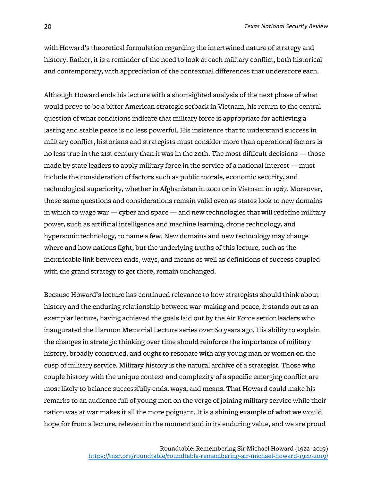with Howard's theoretical formulation regarding the intertwined nature of strategy and history. Rather, it is a reminder of the need to look at each military conflict, both historical and contemporary, with appreciation of the contextual differences that underscore each.

Although Howard ends his lecture with a shortsighted analysis of the next phase of what would prove to be a bitter American strategic setback in Vietnam, his return to the central question of what conditions indicate that military force is appropriate for achieving a lasting and stable peace is no less powerful. His insistence that to understand success in military conflict, historians and strategists must consider more than operational factors is no less true in the 21st century than it was in the 20th. The most difficult decisions — those made by state leaders to apply military force in the service of a national interest — must include the consideration of factors such as public morale, economic security, and technological superiority, whether in Afghanistan in 2001 or in Vietnam in 1967. Moreover, those same questions and considerations remain valid even as states look to new domains in which to wage war — cyber and space — and new technologies that will redefine military power, such as artificial intelligence and machine learning, drone technology, and hypersonic technology, to name a few. New domains and new technology may change where and how nations fight, but the underlying truths of this lecture, such as the inextricable link between ends, ways, and means as well as definitions of success coupled with the grand strategy to get there, remain unchanged.

Because Howard's lecture has continued relevance to how strategists should think about history and the enduring relationship between war-making and peace, it stands out as an exemplar lecture, having achieved the goals laid out by the Air Force senior leaders who inaugurated the Harmon Memorial Lecture series over 60 years ago. His ability to explain the changes in strategic thinking over time should reinforce the importance of military history, broadly construed, and ought to resonate with any young man or women on the cusp of military service. Military history is the natural archive of a strategist. Those who couple history with the unique context and complexity of a specific emerging conflict are most likely to balance successfully ends, ways, and means. That Howard could make his remarks to an audience full of young men on the verge of joining military service while their nation was at war makes it all the more poignant. It is a shining example of what we would hope for from a lecture, relevant in the moment and in its enduring value, and we are proud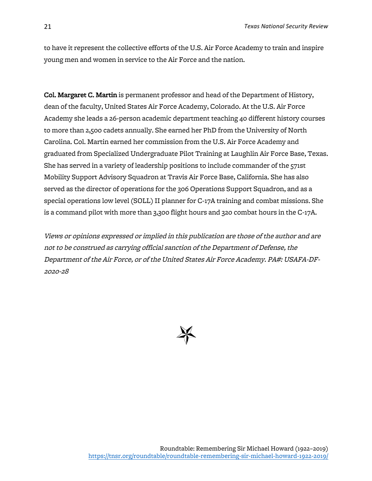to have it represent the collective efforts of the U.S. Air Force Academy to train and inspire young men and women in service to the Air Force and the nation.

Col. Margaret C. Martin is permanent professor and head of the Department of History, dean of the faculty, United States Air Force Academy, Colorado. At the U.S. Air Force Academy she leads a 26-person academic department teaching 40 different history courses to more than 2,500 cadets annually. She earned her PhD from the University of North Carolina. Col. Martin earned her commission from the U.S. Air Force Academy and graduated from Specialized Undergraduate Pilot Training at Laughlin Air Force Base, Texas. She has served in a variety of leadership positions to include commander of the 571st Mobility Support Advisory Squadron at Travis Air Force Base, California. She has also served as the director of operations for the 306 Operations Support Squadron, and as a special operations low level (SOLL) II planner for C-17A training and combat missions. She is a command pilot with more than 3,300 flight hours and 320 combat hours in the C-17A.

Views or opinions expressed or implied in this publication are those of the author and are not to be construed as carrying official sanction of the Department of Defense, the Department of the Air Force, or of the United States Air Force Academy. PA#: USAFA-DF-2020-28

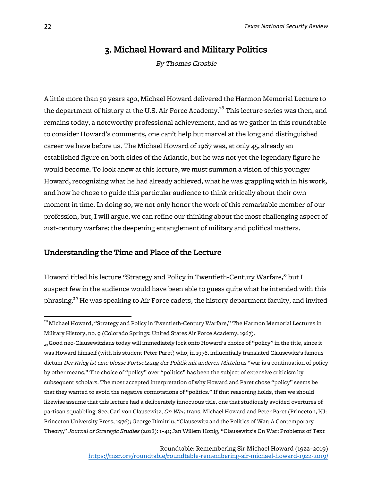## 3. Michael Howard and Military Politics

By Thomas Crosbie

A little more than 50 years ago, Michael Howard delivered the Harmon Memorial Lecture to the department of history at the U.S. Air Force Academy.<sup>28</sup> This lecture series was then, and remains today, a noteworthy professional achievement, and as we gather in this roundtable to consider Howard's comments, one can't help but marvel at the long and distinguished career we have before us. The Michael Howard of 1967 was, at only 45, already an established figure on both sides of the Atlantic, but he was not yet the legendary figure he would become. To look anew at this lecture, we must summon a vision of this younger Howard, recognizing what he had already achieved, what he was grappling with in his work, and how he chose to guide this particular audience to think critically about their own moment in time. In doing so, we not only honor the work of this remarkable member of our profession, but, I will argue, we can refine our thinking about the most challenging aspect of 21st-century warfare: the deepening entanglement of military and political matters.

#### Understanding the Time and Place of the Lecture

Howard titled his lecture "Strategy and Policy in Twentieth-Century Warfare," but I suspect few in the audience would have been able to guess quite what he intended with this phrasing.<sup>29</sup> He was speaking to Air Force cadets, the history department faculty, and invited

<sub>29</sub> Good neo-Clausewitzians today will immediately lock onto Howard's choice of "policy" in the title, since it was Howard himself (with his student Peter Paret) who, in 1976, influentially translated Clausewitz's famous dictum Der Krieg ist eine blosse Fortsetzung der Politik mit anderen Mitteln as "war is a continuation of policy by other means." The choice of "policy" over "politics" has been the subject of extensive criticism by subsequent scholars. The most accepted interpretation of why Howard and Paret chose "policy" seems be that they wanted to avoid the negative connotations of "politics." If that reasoning holds, then we should likewise assume that this lecture had a deliberately innocuous title, one that studiously avoided overtures of partisan squabbling. See, Carl von Clausewitz, On War, trans. Michael Howard and Peter Paret (Princeton, NJ: Princeton University Press, 1976); George Dimitriu, "Clausewitz and the Politics of War: A Contemporary Theory," Journal of Strategic Studies (2018): 1–41; Jan Willem Honig, "Clausewitz's On War: Problems of Text

 $^{28}$ Michael Howard, "Strategy and Policy in Twentieth-Century Warfare," The Harmon Memorial Lectures in Military History, no. 9 (Colorado Springs: United States Air Force Academy, 1967).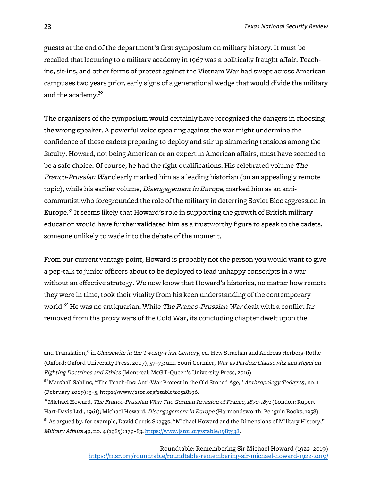guests at the end of the department's first symposium on military history. It must be recalled that lecturing to a military academy in 1967 was a politically fraught affair. Teachins, sit-ins, and other forms of protest against the Vietnam War had swept across American campuses two years prior, early signs of a generational wedge that would divide the military and the academy.<sup>30</sup>

The organizers of the symposium would certainly have recognized the dangers in choosing the wrong speaker. A powerful voice speaking against the war might undermine the confidence of these cadets preparing to deploy and stir up simmering tensions among the faculty. Howard, not being American or an expert in American affairs, must have seemed to be a safe choice. Of course, he had the right qualifications. His celebrated volume The Franco-Prussian War clearly marked him as a leading historian (on an appealingly remote topic), while his earlier volume, *Disengagement in Europe*, marked him as an anticommunist who foregrounded the role of the military in deterring Soviet Bloc aggression in Europe. $31$  It seems likely that Howard's role in supporting the growth of British military education would have further validated him as a trustworthy figure to speak to the cadets, someone unlikely to wade into the debate of the moment.

From our current vantage point, Howard is probably not the person you would want to give a pep-talk to junior officers about to be deployed to lead unhappy conscripts in a war without an effective strategy. We now know that Howard's histories, no matter how remote they were in time, took their vitality from his keen understanding of the contemporary world.<sup>32</sup> He was no antiquarian. While *The Franco-Prussian War* dealt with a conflict far removed from the proxy wars of the Cold War, its concluding chapter dwelt upon the

 

 $31$  Michael Howard, The Franco-Prussian War: The German Invasion of France, 1870-1871 (London: Rupert

and Translation," in Clausewitz in the Twenty-First Century, ed. Hew Strachan and Andreas Herberg-Rothe (Oxford: Oxford University Press, 2007), 57-73; and Youri Cormier, War as Pardox: Clausewitz and Hegel on Fighting Doctrines and Ethics (Montreal: McGill-Queen's University Press, 2016).

<sup>&</sup>lt;sup>30</sup> Marshall Sahlins, "The Teach-Ins: Anti-War Protest in the Old Stoned Age," Anthropology Today 25, no. 1 (February 2009): 3–5, https://www.jstor.org/stable/20528196.

Hart-Davis Ltd., 1961); Michael Howard, Disengagement in Europe (Harmondsworth: Penguin Books, 1958).

 $^{32}$  As argued by, for example, David Curtis Skaggs, "Michael Howard and the Dimensions of Military History," Military Affairs 49, no. 4 (1985): 179–83, https://www.jstor.org/stable/1987538.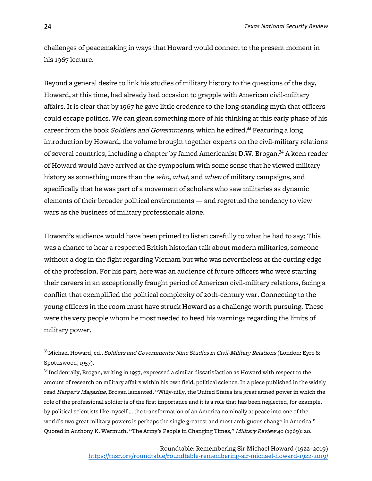challenges of peacemaking in ways that Howard would connect to the present moment in his 1967 lecture.

Beyond a general desire to link his studies of military history to the questions of the day, Howard, at this time, had already had occasion to grapple with American civil-military affairs. It is clear that by 1967 he gave little credence to the long-standing myth that officers could escape politics. We can glean something more of his thinking at this early phase of his career from the book Soldiers and Governments, which he edited.<sup>33</sup> Featuring a long introduction by Howard, the volume brought together experts on the civil-military relations of several countries, including a chapter by famed Americanist D.W. Brogan.<sup>34</sup> A keen reader of Howard would have arrived at the symposium with some sense that he viewed military history as something more than the who, what, and when of military campaigns, and specifically that he was part of a movement of scholars who saw militaries as dynamic elements of their broader political environments — and regretted the tendency to view wars as the business of military professionals alone.

Howard's audience would have been primed to listen carefully to what he had to say: This was a chance to hear a respected British historian talk about modern militaries, someone without a dog in the fight regarding Vietnam but who was nevertheless at the cutting edge of the profession. For his part, here was an audience of future officers who were starting their careers in an exceptionally fraught period of American civil-military relations, facing a conflict that exemplified the political complexity of 20th-century war. Connecting to the young officers in the room must have struck Howard as a challenge worth pursuing. These were the very people whom he most needed to heed his warnings regarding the limits of military power.

 $^{33}$  Michael Howard, ed., *Soldiers and Governments: Nine Studies in Civil-Military Relations* (London: Eyre & Spottiswood, 1957).

<sup>&</sup>lt;sup>34</sup> Incidentally, Brogan, writing in 1957, expressed a similar dissatisfaction as Howard with respect to the amount of research on military affairs within his own field, political science. In a piece published in the widely read Harper's Magazine, Brogan lamented, "Willy-nilly, the United States is a great armed power in which the role of the professional soldier is of the first importance and it is a role that has been neglected, for example, by political scientists like myself … the transformation of an America nominally at peace into one of the world's two great military powers is perhaps the single greatest and most ambiguous change in America." Quoted in Anthony K. Wermuth, "The Army's People in Changing Times," Military Review 40 (1969): 20.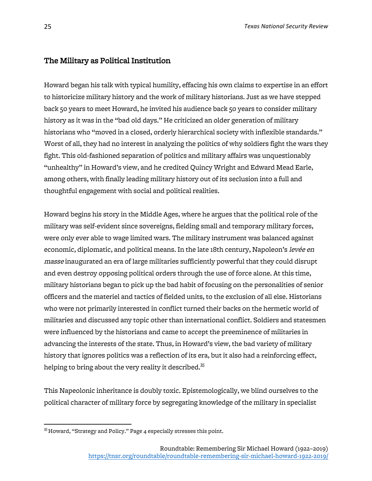#### The Military as Political Institution

Howard began his talk with typical humility, effacing his own claims to expertise in an effort to historicize military history and the work of military historians. Just as we have stepped back 50 years to meet Howard, he invited his audience back 50 years to consider military history as it was in the "bad old days." He criticized an older generation of military historians who "moved in a closed, orderly hierarchical society with inflexible standards." Worst of all, they had no interest in analyzing the politics of why soldiers fight the wars they fight. This old-fashioned separation of politics and military affairs was unquestionably "unhealthy" in Howard's view, and he credited Quincy Wright and Edward Mead Earle, among others, with finally leading military history out of its seclusion into a full and thoughtful engagement with social and political realities.

Howard begins his story in the Middle Ages, where he argues that the political role of the military was self-evident since sovereigns, fielding small and temporary military forces, were only ever able to wage limited wars. The military instrument was balanced against economic, diplomatic, and political means. In the late 18th century, Napoleon's levée en masse inaugurated an era of large militaries sufficiently powerful that they could disrupt and even destroy opposing political orders through the use of force alone. At this time, military historians began to pick up the bad habit of focusing on the personalities of senior officers and the materiel and tactics of fielded units, to the exclusion of all else. Historians who were not primarily interested in conflict turned their backs on the hermetic world of militaries and discussed any topic other than international conflict. Soldiers and statesmen were influenced by the historians and came to accept the preeminence of militaries in advancing the interests of the state. Thus, in Howard's view, the bad variety of military history that ignores politics was a reflection of its era, but it also had a reinforcing effect, helping to bring about the very reality it described.<sup>35</sup>

This Napeolonic inheritance is doubly toxic. Epistemologically, we blind ourselves to the political character of military force by segregating knowledge of the military in specialist

<sup>&</sup>lt;sup>35</sup> Howard, "Strategy and Policy." Page 4 especially stresses this point.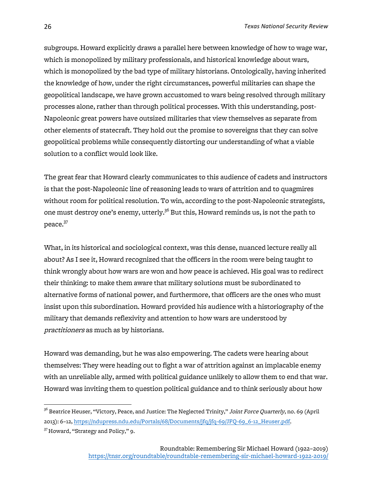subgroups. Howard explicitly draws a parallel here between knowledge of how to wage war, which is monopolized by military professionals, and historical knowledge about wars, which is monopolized by the bad type of military historians. Ontologically, having inherited the knowledge of how, under the right circumstances, powerful militaries can shape the geopolitical landscape, we have grown accustomed to wars being resolved through military processes alone, rather than through political processes. With this understanding, post-Napoleonic great powers have outsized militaries that view themselves as separate from other elements of statecraft. They hold out the promise to sovereigns that they can solve geopolitical problems while consequently distorting our understanding of what a viable solution to a conflict would look like.

The great fear that Howard clearly communicates to this audience of cadets and instructors is that the post-Napoleonic line of reasoning leads to wars of attrition and to quagmires without room for political resolution. To win, according to the post-Napoleonic strategists, one must destroy one's enemy, utterly.<sup>36</sup> But this, Howard reminds us, is not the path to peace.37

What, in its historical and sociological context, was this dense, nuanced lecture really all about? As I see it, Howard recognized that the officers in the room were being taught to think wrongly about how wars are won and how peace is achieved. His goal was to redirect their thinking: to make them aware that military solutions must be subordinated to alternative forms of national power, and furthermore, that officers are the ones who must insist upon this subordination. Howard provided his audience with a historiography of the military that demands reflexivity and attention to how wars are understood by practitioners as much as by historians.

Howard was demanding, but he was also empowering. The cadets were hearing about themselves: They were heading out to fight a war of attrition against an implacable enemy with an unreliable ally, armed with political guidance unlikely to allow them to end that war. Howard was inviting them to question political guidance and to think seriously about how

<sup>&</sup>lt;sup>36</sup> Beatrice Heuser, "Victory, Peace, and Justice: The Neglected Trinity," Joint Force Quarterly, no. 69 (April 2013): 6–12, https://ndupress.ndu.edu/Portals/68/Documents/jfq/jfq-69/JFQ-69\_6-12\_Heuser.pdf.

<sup>&</sup>lt;sup>37</sup> Howard, "Strategy and Policy," 9.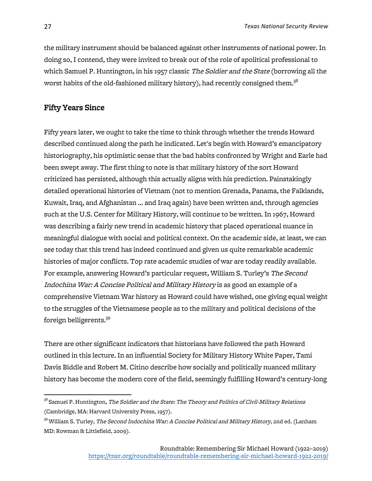the military instrument should be balanced against other instruments of national power. In doing so, I contend, they were invited to break out of the role of apolitical professional to which Samuel P. Huntington, in his 1957 classic The Soldier and the State (borrowing all the worst habits of the old-fashioned military history), had recently consigned them.<sup>38</sup>

#### Fifty Years Since

Fifty years later, we ought to take the time to think through whether the trends Howard described continued along the path he indicated. Let's begin with Howard's emancipatory historiography, his optimistic sense that the bad habits confronted by Wright and Earle had been swept away. The first thing to note is that military history of the sort Howard criticized has persisted, although this actually aligns with his prediction. Painstakingly detailed operational histories of Vietnam (not to mention Grenada, Panama, the Falklands, Kuwait, Iraq, and Afghanistan … and Iraq again) have been written and, through agencies such at the U.S. Center for Military History, will continue to be written. In 1967, Howard was describing a fairly new trend in academic history that placed operational nuance in meaningful dialogue with social and political context. On the academic side, at least, we can see today that this trend has indeed continued and given us quite remarkable academic histories of major conflicts. Top rate academic studies of war are today readily available. For example, answering Howard's particular request, William S. Turley's The Second Indochina War: A Concise Political and Military History is as good an example of a comprehensive Vietnam War history as Howard could have wished, one giving equal weight to the struggles of the Vietnamese people as to the military and political decisions of the foreign belligerents.39

There are other significant indicators that historians have followed the path Howard outlined in this lecture. In an influential Society for Military History White Paper, Tami Davis Biddle and Robert M. Citino describe how socially and politically nuanced military history has become the modern core of the field, seemingly fulfilling Howard's century-long

<sup>&</sup>lt;sup>38</sup> Samuel P. Huntington, *The Soldier and the State: The Theory and Politics of Civil-Military Relations* (Cambridge, MA: Harvard University Press, 1957).

 $^{39}$  William S. Turley, *The Second Indochina War: A Concise Political and Military History*, 2nd ed. (Lanham MD: Rowman & Littlefield, 2009).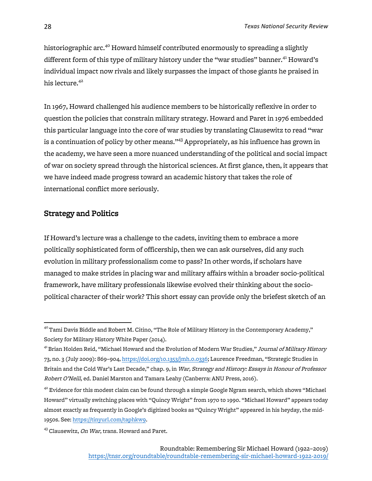historiographic arc.<sup>40</sup> Howard himself contributed enormously to spreading a slightly different form of this type of military history under the "war studies" banner.<sup>41</sup> Howard's individual impact now rivals and likely surpasses the impact of those giants he praised in his lecture.<sup>42</sup>

In 1967, Howard challenged his audience members to be historically reflexive in order to question the policies that constrain military strategy. Howard and Paret in 1976 embedded this particular language into the core of war studies by translating Clausewitz to read "war is a continuation of policy by other means."<sup>43</sup> Appropriately, as his influence has grown in the academy, we have seen a more nuanced understanding of the political and social impact of war on society spread through the historical sciences. At first glance, then, it appears that we have indeed made progress toward an academic history that takes the role of international conflict more seriously.

#### Strategy and Politics

If Howard's lecture was a challenge to the cadets, inviting them to embrace a more politically sophisticated form of officership, then we can ask ourselves, did any such evolution in military professionalism come to pass? In other words, if scholars have managed to make strides in placing war and military affairs within a broader socio-political framework, have military professionals likewise evolved their thinking about the sociopolitical character of their work? This short essay can provide only the briefest sketch of an

 $40$  Tami Davis Biddle and Robert M. Citino, "The Role of Military History in the Contemporary Academy," Society for Military History White Paper (2014).

 $^{41}$ Brian Holden Reid, "Michael Howard and the Evolution of Modern War Studies," Journal of Military History 73, no. 3 (July 2009): 869–904, https://doi.org/10.1353/jmh.0.0336; Laurence Freedman, "Strategic Studies in Britain and the Cold War's Last Decade," chap. 9, in War, Strategy and History: Essays in Honour of Professor Robert O'Neill, ed. Daniel Marston and Tamara Leahy (Canberra: ANU Press, 2016).

 $^{42}$  Evidence for this modest claim can be found through a simple Google Ngram search, which shows "Michael Howard" virtually switching places with "Quincy Wright" from 1970 to 1990. "Michael Howard" appears today almost exactly as frequently in Google's digitized books as "Quincy Wright" appeared in his heyday, the mid-1950s. See: https://tinyurl.com/taphkw9.

 $43$  Clausewitz, On War, trans. Howard and Paret.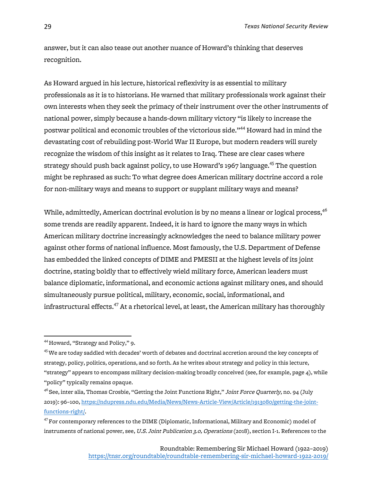answer, but it can also tease out another nuance of Howard's thinking that deserves recognition.

As Howard argued in his lecture, historical reflexivity is as essential to military professionals as it is to historians. He warned that military professionals work against their own interests when they seek the primacy of their instrument over the other instruments of national power, simply because a hands-down military victory "is likely to increase the postwar political and economic troubles of the victorious side."<sup>44</sup> Howard had in mind the devastating cost of rebuilding post-World War II Europe, but modern readers will surely recognize the wisdom of this insight as it relates to Iraq. These are clear cases where strategy should push back against policy, to use Howard's 1967 language.<sup>45</sup> The question might be rephrased as such: To what degree does American military doctrine accord a role for non-military ways and means to support or supplant military ways and means?

While, admittedly, American doctrinal evolution is by no means a linear or logical process,<sup>46</sup> some trends are readily apparent. Indeed, it is hard to ignore the many ways in which American military doctrine increasingly acknowledges the need to balance military power against other forms of national influence. Most famously, the U.S. Department of Defense has embedded the linked concepts of DIME and PMESII at the highest levels of its joint doctrine, stating boldly that to effectively wield military force, American leaders must balance diplomatic, informational, and economic actions against military ones, and should simultaneously pursue political, military, economic, social, informational, and infrastructural effects.<sup>47</sup> At a rhetorical level, at least, the American military has thoroughly

<sup>&</sup>lt;sup>44</sup> Howard, "Strategy and Policy," 9.

 $45$  We are today saddled with decades' worth of debates and doctrinal accretion around the key concepts of strategy, policy, politics, operations, and so forth. As he writes about strategy and policy in this lecture, "strategy" appears to encompass military decision-making broadly conceived (see, for example, page 4), while "policy" typically remains opaque.

 $^{46}$  See, inter alia, Thomas Crosbie, "Getting the Joint Functions Right," *Joint Force Quarterly*, no. 94 (July 2019): 96–100, https://ndupress.ndu.edu/Media/News/News-Article-View/Article/1913080/getting-the-jointfunctions-right/.

 $^{47}$  For contemporary references to the DIME (Diplomatic, Informational, Military and Economic) model of instruments of national power, see, U.S. Joint Publication 3.0, Operations (2018), section I-1. References to the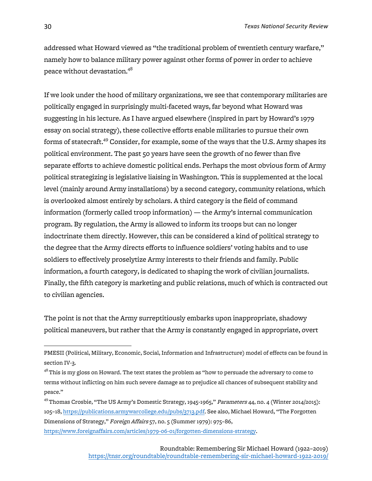addressed what Howard viewed as "the traditional problem of twentieth century warfare," namely how to balance military power against other forms of power in order to achieve peace without devastation.<sup>48</sup>

If we look under the hood of military organizations, we see that contemporary militaries are politically engaged in surprisingly multi-faceted ways, far beyond what Howard was suggesting in his lecture. As I have argued elsewhere (inspired in part by Howard's 1979 essay on social strategy), these collective efforts enable militaries to pursue their own forms of statecraft.<sup>49</sup> Consider, for example, some of the ways that the U.S. Army shapes its political environment. The past 50 years have seen the growth of no fewer than five separate efforts to achieve domestic political ends. Perhaps the most obvious form of Army political strategizing is legislative liaising in Washington. This is supplemented at the local level (mainly around Army installations) by a second category, community relations, which is overlooked almost entirely by scholars. A third category is the field of command information (formerly called troop information) — the Army's internal communication program. By regulation, the Army is allowed to inform its troops but can no longer indoctrinate them directly. However, this can be considered a kind of political strategy to the degree that the Army directs efforts to influence soldiers' voting habits and to use soldiers to effectively proselytize Army interests to their friends and family. Public information, a fourth category, is dedicated to shaping the work of civilian journalists. Finally, the fifth category is marketing and public relations, much of which is contracted out to civilian agencies.

The point is not that the Army surreptitiously embarks upon inappropriate, shadowy political maneuvers, but rather that the Army is constantly engaged in appropriate, overt

PMESII (Political, Military, Economic, Social, Information and Infrastructure) model of effects can be found in section IV-3.

 $^{48}\!$  This is my gloss on Howard. The text states the problem as "how to persuade the adversary to come to terms without inflicting on him such severe damage as to prejudice all chances of subsequent stability and peace."

<sup>&</sup>lt;sup>49</sup>Thomas Crosbie, "The US Army's Domestic Strategy, 1945-1965," *Parameters 44*, no. 4 (Winter 2014/2015): 105–18, https://publications.armywarcollege.edu/pubs/3713.pdf. See also, Michael Howard, "The Forgotten Dimensions of Strategy," Foreign Affairs 57, no. 5 (Summer 1979): 975–86,

https://www.foreignaffairs.com/articles/1979-06-01/forgotten-dimensions-strategy.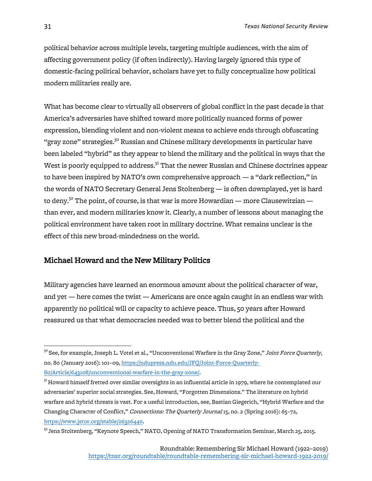political behavior across multiple levels, targeting multiple audiences, with the aim of affecting government policy (if often indirectly). Having largely ignored this type of domestic-facing political behavior, scholars have yet to fully conceptualize how political modern militaries really are.

What has become clear to virtually all observers of global conflict in the past decade is that America's adversaries have shifted toward more politically nuanced forms of power expression, blending violent and non-violent means to achieve ends through obfuscating "gray zone" strategies.<sup>50</sup> Russian and Chinese military developments in particular have been labeled "hybrid" as they appear to blend the military and the political in ways that the West is poorly equipped to address.<sup>51</sup> That the newer Russian and Chinese doctrines appear to have been inspired by NATO's own comprehensive approach — a "dark reflection," in the words of NATO Secretary General Jens Stoltenberg — is often downplayed, yet is hard to deny. $52$  The point, of course, is that war is more Howardian — more Clausewitzian than ever, and modern militaries know it. Clearly, a number of lessons about managing the political environment have taken root in military doctrine. What remains unclear is the effect of this new broad-mindedness on the world.

#### Michael Howard and the New Military Politics

Military agencies have learned an enormous amount about the political character of war, and yet — here comes the twist — Americans are once again caught in an endless war with apparently no political will or capacity to achieve peace. Thus, 50 years after Howard reassured us that what democracies needed was to better blend the political and the

 $5^\circ$  See, for example, Joseph L. Votel et al., "Unconventional Warfare in the Gray Zone," Joint Force Quarterly, no. 80 (January 2016): 101–09, https://ndupress.ndu.edu/JFQ/Joint-Force-Quarterly-80/Article/643108/unconventional-warfare-in-the-gray-zone/.

<sup>&</sup>lt;sup>51</sup> Howard himself fretted over similar oversights in an influential article in 1979, where he contemplated our adversaries' superior social strategies. See, Howard, "Forgotten Dimensions." The literature on hybrid warfare and hybrid threats is vast. For a useful introduction, see, Bastian Giegerich, "Hybrid Warfare and the Changing Character of Conflict," Connections: The Quarterly Journal 15, no. 2 (Spring 2016): 65–72, https://www.jstor.org/stable/26326440.

<sup>52</sup> Jens Stoltenberg, "Keynote Speech," NATO, Opening of NATO Transformation Seminar, March 25, 2015.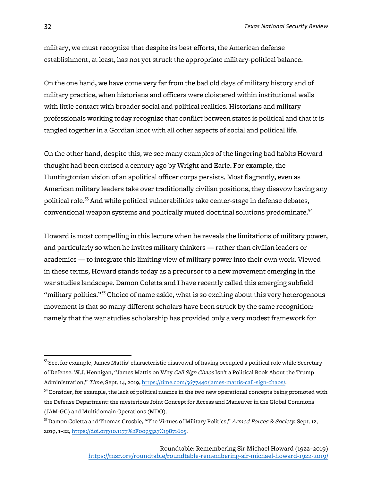military, we must recognize that despite its best efforts, the American defense establishment, at least, has not yet struck the appropriate military-political balance.

On the one hand, we have come very far from the bad old days of military history and of military practice, when historians and officers were cloistered within institutional walls with little contact with broader social and political realities. Historians and military professionals working today recognize that conflict between states is political and that it is tangled together in a Gordian knot with all other aspects of social and political life.

On the other hand, despite this, we see many examples of the lingering bad habits Howard thought had been excised a century ago by Wright and Earle. For example, the Huntingtonian vision of an apolitical officer corps persists. Most flagrantly, even as American military leaders take over traditionally civilian positions, they disavow having any political role.<sup>53</sup> And while political vulnerabilities take center-stage in defense debates, conventional weapon systems and politically muted doctrinal solutions predominate.<sup>54</sup>

Howard is most compelling in this lecture when he reveals the limitations of military power, and particularly so when he invites military thinkers — rather than civilian leaders or academics — to integrate this limiting view of military power into their own work. Viewed in these terms, Howard stands today as a precursor to a new movement emerging in the war studies landscape. Damon Coletta and I have recently called this emerging subfield "military politics."<sup>55</sup> Choice of name aside, what is so exciting about this very heterogenous movement is that so many different scholars have been struck by the same recognition: namely that the war studies scholarship has provided only a very modest framework for

 $^{53}$  See, for example, James Mattis' characteristic disavowal of having occupied a political role while Secretary of Defense. W.J. Hennigan, "James Mattis on Why Call Sign Chaos Isn't a Political Book About the Trump Administration," Time, Sept. 14, 2019, https://time.com/5677440/james-mattis-call-sign-chaos/.

<sup>&</sup>lt;sup>54</sup> Consider, for example, the lack of political nuance in the two new operational concepts being promoted with the Defense Department: the mysterious Joint Concept for Access and Maneuver in the Global Commons (JAM-GC) and Multidomain Operations (MDO).

<sup>&</sup>lt;sup>55</sup> Damon Coletta and Thomas Crosbie, "The Virtues of Military Politics," Armed Forces & Society, Sept. 12, 2019, 1–22, https://doi.org/10.1177%2F0095327X19871605.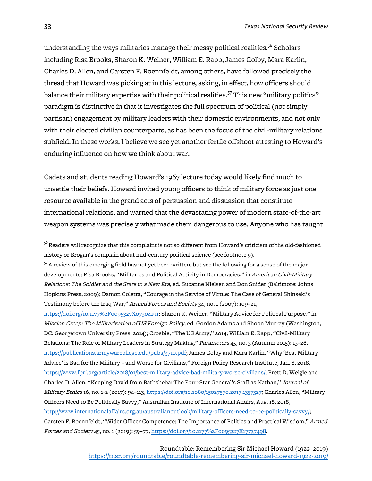understanding the ways militaries manage their messy political realities.<sup>56</sup> Scholars including Risa Brooks, Sharon K. Weiner, William E. Rapp, James Golby, Mara Karlin, Charles D. Allen, and Carsten F. Roennfeldt, among others, have followed precisely the thread that Howard was picking at in this lecture, asking, in effect, how officers should balance their military expertise with their political realities.<sup>57</sup> This new "military politics" paradigm is distinctive in that it investigates the full spectrum of political (not simply partisan) engagement by military leaders with their domestic environments, and not only with their elected civilian counterparts, as has been the focus of the civil-military relations subfield. In these works, I believe we see yet another fertile offshoot attesting to Howard's enduring influence on how we think about war.

Cadets and students reading Howard's 1967 lecture today would likely find much to unsettle their beliefs. Howard invited young officers to think of military force as just one resource available in the grand acts of persuasion and dissuasion that constitute international relations, and warned that the devastating power of modern state-of-the-art weapon systems was precisely what made them dangerous to use. Anyone who has taught

https://doi.org/10.1177%2F0095327X07304191; Sharon K. Weiner, "Military Advice for Political Purpose," in Mission Creep: The Militarization of US Foreign Policy, ed. Gordon Adams and Shoon Murray (Washington, DC: Georgetown University Press, 2014); Crosbie, "The US Army," 2014; William E. Rapp, "Civil-Military Relations: The Role of Military Leaders in Strategy Making," Parameters 45, no. 3 (Autumn 2015): 13–26, https://publications.armywarcollege.edu/pubs/3710.pdf; James Golby and Mara Karlin, "Why 'Best Military Advice' is Bad for the Military – and Worse for Civilians," Foreign Policy Research Institute, Jan. 8, 2018, https://www.fpri.org/article/2018/01/best-military-advice-bad-military-worse-civilians/; Brett D. Weigle and Charles D. Allen, "Keeping David from Bathsheba: The Four-Star General's Staff as Nathan," Journal of Military Ethics 16, no. 1-2 (2017): 94–113, https://doi.org/10.1080/15027570.2017.1357327; Charles Allen, "Military Officers Need to Be Politically Savvy," Australian Institute of International Affairs, Aug. 18, 2018, http://www.internationalaffairs.org.au/australianoutlook/military-officers-need-to-be-politically-savvy/; Carsten F. Roennfeldt, "Wider Officer Competence: The Importance of Politics and Practical Wisdom," Armed Forces and Society 45, no. 1 (2019): 59–77, https://doi.org/10.1177%2F0095327X17737498.

<sup>&</sup>lt;sup>56</sup> Readers will recognize that this complaint is not so different from Howard's criticism of the old-fashioned history or Brogan's complain about mid-century political science (see footnote 9).

 $^{57}$  A review of this emerging field has not yet been written, but see the following for a sense of the major developments: Risa Brooks, "Militaries and Political Activity in Democracies," in American Civil-Military Relations: The Soldier and the State in a New Era, ed. Suzanne Nielsen and Don Snider (Baltimore: Johns Hopkins Press, 2009); Damon Coletta, "Courage in the Service of Virtue: The Case of General Shinseki's Testimony before the Iraq War," Armed Forces and Society 34, no. 1 (2007): 109-21,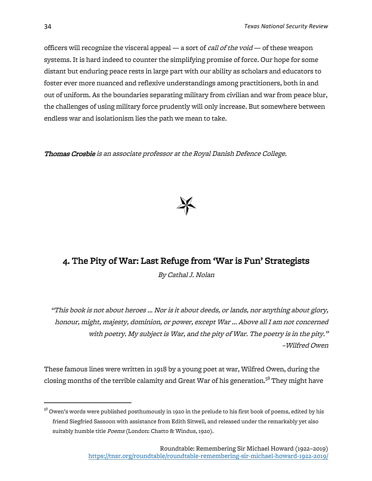officers will recognize the visceral appeal — a sort of *call of the void* — of these weapon systems. It is hard indeed to counter the simplifying promise of force. Our hope for some distant but enduring peace rests in large part with our ability as scholars and educators to foster ever more nuanced and reflexive understandings among practitioners, both in and out of uniform. As the boundaries separating military from civilian and war from peace blur, the challenges of using military force prudently will only increase. But somewhere between endless war and isolationism lies the path we mean to take.

Thomas Crosbie is an associate professor at the Royal Danish Defence College.



### 4. The Pity of War: Last Refuge from 'War is Fun' Strategists

By Cathal J. Nolan

"This book is not about heroes ... Nor is it about deeds, or lands, nor anything about glory, honour, might, majesty, dominion, or power, except War ... Above all I am not concerned with poetry. My subject is War, and the pity of War. The poetry is in the pity." –Wilfred Owen

These famous lines were written in 1918 by a young poet at war, Wilfred Owen, during the closing months of the terrible calamity and Great War of his generation.<sup>58</sup> They might have

 $^{58}$  Owen's words were published posthumously in 1920 in the prelude to his first book of poems, edited by his friend Siegfried Sassoon with assistance from Edith Sitwell, and released under the remarkably yet also suitably humble title Poems (London: Chatto & Windus, 1920).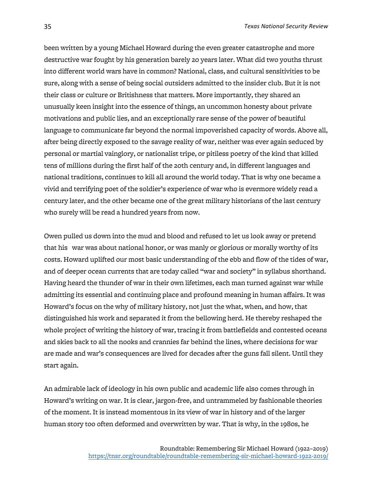been written by a young Michael Howard during the even greater catastrophe and more destructive war fought by his generation barely 20 years later. What did two youths thrust into different world wars have in common? National, class, and cultural sensitivities to be sure, along with a sense of being social outsiders admitted to the insider club. But it is not their class or culture or Britishness that matters. More importantly, they shared an unusually keen insight into the essence of things, an uncommon honesty about private motivations and public lies, and an exceptionally rare sense of the power of beautiful language to communicate far beyond the normal impoverished capacity of words. Above all, after being directly exposed to the savage reality of war, neither was ever again seduced by personal or martial vainglory, or nationalist tripe, or pitiless poetry of the kind that killed tens of millions during the first half of the 20th century and, in different languages and national traditions, continues to kill all around the world today. That is why one became a vivid and terrifying poet of the soldier's experience of war who is evermore widely read a century later, and the other became one of the great military historians of the last century who surely will be read a hundred years from now.

Owen pulled us down into the mud and blood and refused to let us look away or pretend that his war was about national honor, or was manly or glorious or morally worthy of its costs. Howard uplifted our most basic understanding of the ebb and flow of the tides of war, and of deeper ocean currents that are today called "war and society" in syllabus shorthand. Having heard the thunder of war in their own lifetimes, each man turned against war while admitting its essential and continuing place and profound meaning in human affairs. It was Howard's focus on the why of military history, not just the what, when, and how, that distinguished his work and separated it from the bellowing herd. He thereby reshaped the whole project of writing the history of war, tracing it from battlefields and contested oceans and skies back to all the nooks and crannies far behind the lines, where decisions for war are made and war's consequences are lived for decades after the guns fall silent. Until they start again.

An admirable lack of ideology in his own public and academic life also comes through in Howard's writing on war. It is clear, jargon-free, and untrammeled by fashionable theories of the moment. It is instead momentous in its view of war in history and of the larger human story too often deformed and overwritten by war. That is why, in the 1980s, he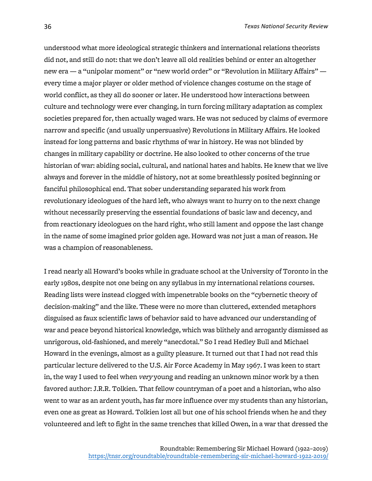understood what more ideological strategic thinkers and international relations theorists did not, and still do not: that we don't leave all old realities behind or enter an altogether new era — a "unipolar moment" or "new world order" or "Revolution in Military Affairs" every time a major player or older method of violence changes costume on the stage of world conflict, as they all do sooner or later. He understood how interactions between culture and technology were ever changing, in turn forcing military adaptation as complex societies prepared for, then actually waged wars. He was not seduced by claims of evermore narrow and specific (and usually unpersuasive) Revolutions in Military Affairs. He looked instead for long patterns and basic rhythms of war in history. He was not blinded by changes in military capability or doctrine. He also looked to other concerns of the true historian of war: abiding social, cultural, and national hates and habits. He knew that we live always and forever in the middle of history, not at some breathlessly posited beginning or fanciful philosophical end. That sober understanding separated his work from revolutionary ideologues of the hard left, who always want to hurry on to the next change without necessarily preserving the essential foundations of basic law and decency, and from reactionary ideologues on the hard right, who still lament and oppose the last change in the name of some imagined prior golden age. Howard was not just a man of reason. He was a champion of reasonableness.

I read nearly all Howard's books while in graduate school at the University of Toronto in the early 1980s, despite not one being on any syllabus in my international relations courses. Reading lists were instead clogged with impenetrable books on the "cybernetic theory of decision-making" and the like. These were no more than cluttered, extended metaphors disguised as faux scientific laws of behavior said to have advanced our understanding of war and peace beyond historical knowledge, which was blithely and arrogantly dismissed as unrigorous, old-fashioned, and merely "anecdotal." So I read Hedley Bull and Michael Howard in the evenings, almost as a guilty pleasure. It turned out that I had not read this particular lecture delivered to the U.S. Air Force Academy in May 1967. I was keen to start in, the way I used to feel when very young and reading an unknown minor work by a then favored author: J.R.R. Tolkien. That fellow countryman of a poet and a historian, who also went to war as an ardent youth, has far more influence over my students than any historian, even one as great as Howard. Tolkien lost all but one of his school friends when he and they volunteered and left to fight in the same trenches that killed Owen, in a war that dressed the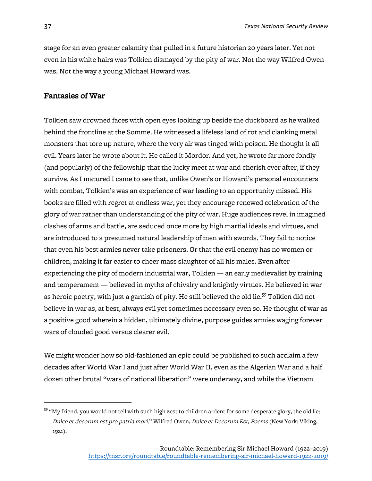stage for an even greater calamity that pulled in a future historian 20 years later. Yet not even in his white hairs was Tolkien dismayed by the pity of war. Not the way Wilfred Owen was. Not the way a young Michael Howard was.

#### Fantasies of War

 

Tolkien saw drowned faces with open eyes looking up beside the duckboard as he walked behind the frontline at the Somme. He witnessed a lifeless land of rot and clanking metal monsters that tore up nature, where the very air was tinged with poison. He thought it all evil. Years later he wrote about it. He called it Mordor. And yet, he wrote far more fondly (and popularly) of the fellowship that the lucky meet at war and cherish ever after, if they survive. As I matured I came to see that, unlike Owen's or Howard's personal encounters with combat, Tolkien's was an experience of war leading to an opportunity missed. His books are filled with regret at endless war, yet they encourage renewed celebration of the glory of war rather than understanding of the pity of war. Huge audiences revel in imagined clashes of arms and battle, are seduced once more by high martial ideals and virtues, and are introduced to a presumed natural leadership of men with swords. They fail to notice that even his best armies never take prisoners. Or that the evil enemy has no women or children, making it far easier to cheer mass slaughter of all his males. Even after experiencing the pity of modern industrial war, Tolkien — an early medievalist by training and temperament — believed in myths of chivalry and knightly virtues. He believed in war as heroic poetry, with just a garnish of pity. He still believed the old lie.<sup>59</sup> Tolkien did not believe in war as, at best, always evil yet sometimes necessary even so. He thought of war as a positive good wherein a hidden, ultimately divine, purpose guides armies waging forever wars of clouded good versus clearer evil.

We might wonder how so old-fashioned an epic could be published to such acclaim a few decades after World War I and just after World War II, even as the Algerian War and a half dozen other brutal "wars of national liberation" were underway, and while the Vietnam

 $59$  "My friend, you would not tell with such high zest to children ardent for some desperate glory, the old lie: Dulce et decorum est pro patria mori." Wilfred Owen, Dulce et Decorum Est, Poems (New York: Viking, 1921).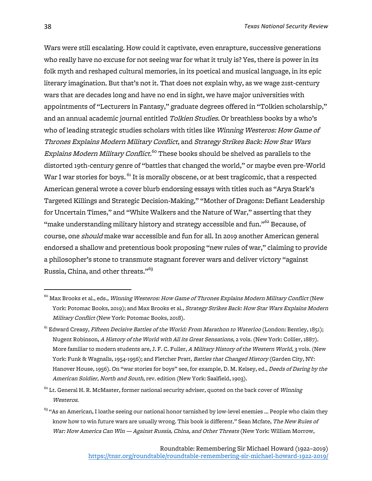Wars were still escalating. How could it captivate, even enrapture, successive generations who really have no excuse for not seeing war for what it truly is? Yes, there is power in its folk myth and reshaped cultural memories, in its poetical and musical language, in its epic literary imagination. But that's not it. That does not explain why, as we wage 21st-century wars that are decades long and have no end in sight, we have major universities with appointments of "Lecturers in Fantasy," graduate degrees offered in "Tolkien scholarship," and an annual academic journal entitled Tolkien Studies. Or breathless books by a who's who of leading strategic studies scholars with titles like Winning Westeros: How Game of Thrones Explains Modern Military Conflict, and Strategy Strikes Back: How Star Wars Explains Modern Military Conflict.<sup>60</sup> These books should be shelved as parallels to the distorted 19th-century genre of "battles that changed the world," or maybe even pre-World War I war stories for boys.<sup>61</sup> It is morally obscene, or at best tragicomic, that a respected American general wrote a cover blurb endorsing essays with titles such as "Arya Stark's Targeted Killings and Strategic Decision-Making," "Mother of Dragons: Defiant Leadership for Uncertain Times," and "White Walkers and the Nature of War," asserting that they "make understanding military history and strategy accessible and fun." $62$  Because, of course, one should make war accessible and fun for all. In 2019 another American general endorsed a shallow and pretentious book proposing "new rules of war," claiming to provide a philosopher's stone to transmute stagnant forever wars and deliver victory "against Russia, China, and other threats."63

 $\rm ^{60}$  Max Brooks et al., eds., *Winning Westeros: How Game of Thrones Explains Modern Military Conflict* (New York: Potomac Books, 2019); and Max Brooks et al., Strategy Strikes Back: How Star Wars Explains Modern Military Conflict (New York: Potomac Books, 2018).

 $^{61}$  Edward Creasy, Fifteen Decisive Battles of the World: From Marathon to Waterloo (London: Bentley, 1851); Nugent Robinson, A History of the World with All its Great Sensations, 2 vols. (New York: Collier, 1887). More familiar to modern students are, J. F. C. Fuller, A Military History of the Western World, 3 vols. (New York: Funk & Wagnalls, 1954-1956); and Fletcher Pratt, Battles that Changed History (Garden City, NY: Hanover House, 1956). On "war stories for boys" see, for example, D. M. Kelsey, ed., Deeds of Daring by the American Soldier, North and South, rev. edition (New York: Saalfield, 1903).

 $^{62}$  Lt. General H. R. McMaster, former national security adviser, quoted on the back cover of *Winning* Westeros.

 $^{63}$  "As an American, I loathe seeing our national honor tarnished by low-level enemies … People who claim they know how to win future wars are usually wrong. This book is different." Sean Mcfate, The New Rules of War: How America Can Win — Against Russia, China, and Other Threats (New York: William Morrow,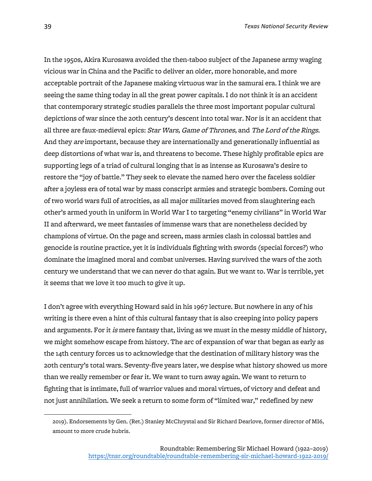In the 1950s, Akira Kurosawa avoided the then-taboo subject of the Japanese army waging vicious war in China and the Pacific to deliver an older, more honorable, and more acceptable portrait of the Japanese making virtuous war in the samurai era. I think we are seeing the same thing today in all the great power capitals. I do not think it is an accident that contemporary strategic studies parallels the three most important popular cultural depictions of war since the 20th century's descent into total war. Nor is it an accident that all three are faux-medieval epics: Star Wars, Game of Thrones, and The Lord of the Rings. And they are important, because they are internationally and generationally influential as deep distortions of what war is, and threatens to become. These highly profitable epics are supporting legs of a triad of cultural longing that is as intense as Kurosawa's desire to restore the "joy of battle." They seek to elevate the named hero over the faceless soldier after a joyless era of total war by mass conscript armies and strategic bombers. Coming out of two world wars full of atrocities, as all major militaries moved from slaughtering each other's armed youth in uniform in World War I to targeting "enemy civilians" in World War II and afterward, we meet fantasies of immense wars that are nonetheless decided by champions of virtue. On the page and screen, mass armies clash in colossal battles and genocide is routine practice, yet it is individuals fighting with swords (special forces?) who dominate the imagined moral and combat universes. Having survived the wars of the 20th century we understand that we can never do that again. But we want to. War is terrible, yet it seems that we love it too much to give it up.

I don't agree with everything Howard said in his 1967 lecture. But nowhere in any of his writing is there even a hint of this cultural fantasy that is also creeping into policy papers and arguments. For it is mere fantasy that, living as we must in the messy middle of history, we might somehow escape from history. The arc of expansion of war that began as early as the 14th century forces us to acknowledge that the destination of military history was the 20th century's total wars. Seventy-five years later, we despise what history showed us more than we really remember or fear it. We want to turn away again. We want to return to fighting that is intimate, full of warrior values and moral virtues, of victory and defeat and not just annihilation. We seek a return to some form of "limited war," redefined by new

<sup>2019).</sup> Endorsements by Gen. (Ret.) Stanley McChrystal and Sir Richard Dearlove, former director of MI6, amount to more crude hubris.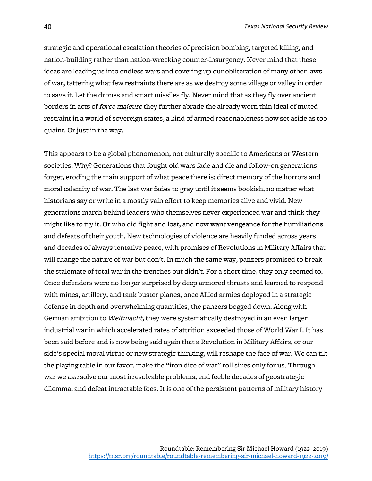strategic and operational escalation theories of precision bombing, targeted killing, and nation-building rather than nation-wrecking counter-insurgency. Never mind that these ideas are leading us into endless wars and covering up our obliteration of many other laws of war, tattering what few restraints there are as we destroy some village or valley in order to save it. Let the drones and smart missiles fly. Never mind that as they fly over ancient borders in acts of force majeure they further abrade the already worn thin ideal of muted restraint in a world of sovereign states, a kind of armed reasonableness now set aside as too quaint. Or just in the way.

This appears to be a global phenomenon, not culturally specific to Americans or Western societies. Why? Generations that fought old wars fade and die and follow-on generations forget, eroding the main support of what peace there is: direct memory of the horrors and moral calamity of war. The last war fades to gray until it seems bookish, no matter what historians say or write in a mostly vain effort to keep memories alive and vivid. New generations march behind leaders who themselves never experienced war and think they might like to try it. Or who did fight and lost, and now want vengeance for the humiliations and defeats of their youth. New technologies of violence are heavily funded across years and decades of always tentative peace, with promises of Revolutions in Military Affairs that will change the nature of war but don't. In much the same way, panzers promised to break the stalemate of total war in the trenches but didn't. For a short time, they only seemed to. Once defenders were no longer surprised by deep armored thrusts and learned to respond with mines, artillery, and tank buster planes, once Allied armies deployed in a strategic defense in depth and overwhelming quantities, the panzers bogged down. Along with German ambition to Weltmacht, they were systematically destroyed in an even larger industrial war in which accelerated rates of attrition exceeded those of World War I. It has been said before and is now being said again that a Revolution in Military Affairs, or our side's special moral virtue or new strategic thinking, will reshape the face of war. We can tilt the playing table in our favor, make the "iron dice of war" roll sixes only for us. Through war we can solve our most irresolvable problems, end feeble decades of geostrategic dilemma, and defeat intractable foes. It is one of the persistent patterns of military history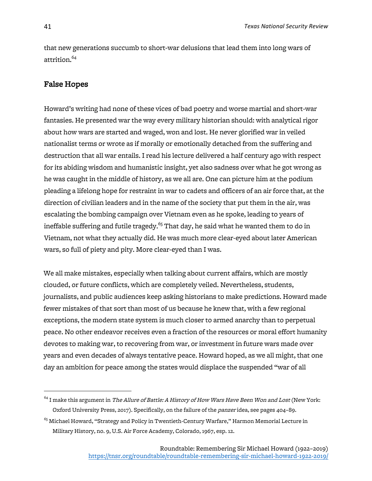that new generations succumb to short-war delusions that lead them into long wars of attrition.<sup>64</sup>

#### False Hopes

 

Howard's writing had none of these vices of bad poetry and worse martial and short-war fantasies. He presented war the way every military historian should: with analytical rigor about how wars are started and waged, won and lost. He never glorified war in veiled nationalist terms or wrote as if morally or emotionally detached from the suffering and destruction that all war entails. I read his lecture delivered a half century ago with respect for its abiding wisdom and humanistic insight, yet also sadness over what he got wrong as he was caught in the middle of history, as we all are. One can picture him at the podium pleading a lifelong hope for restraint in war to cadets and officers of an air force that, at the direction of civilian leaders and in the name of the society that put them in the air, was escalating the bombing campaign over Vietnam even as he spoke, leading to years of ineffable suffering and futile tragedy.<sup>65</sup> That day, he said what he wanted them to do in Vietnam, not what they actually did. He was much more clear-eyed about later American wars, so full of piety and pity. More clear-eyed than I was.

We all make mistakes, especially when talking about current affairs, which are mostly clouded, or future conflicts, which are completely veiled. Nevertheless, students, journalists, and public audiences keep asking historians to make predictions. Howard made fewer mistakes of that sort than most of us because he knew that, with a few regional exceptions, the modern state system is much closer to armed anarchy than to perpetual peace. No other endeavor receives even a fraction of the resources or moral effort humanity devotes to making war, to recovering from war, or investment in future wars made over years and even decades of always tentative peace. Howard hoped, as we all might, that one day an ambition for peace among the states would displace the suspended "war of all

 $^{64}$  I make this argument in *The Allure of Battle: A History of How Wars Have Been Won and Lost* (New York: Oxford University Press, 2017). Specifically, on the failure of the panzer idea, see pages 404–89.

 $^{65}$  Michael Howard, "Strategy and Policy in Twentieth-Century Warfare," Harmon Memorial Lecture in Military History, no. 9, U.S. Air Force Academy, Colorado, 1967, esp. 12.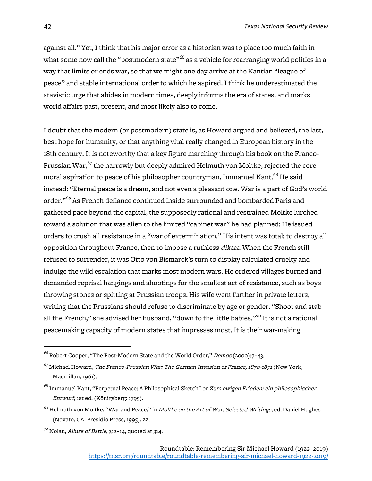against all." Yet, I think that his major error as a historian was to place too much faith in what some now call the "postmodern state"<sup>66</sup> as a vehicle for rearranging world politics in a way that limits or ends war, so that we might one day arrive at the Kantian "league of peace" and stable international order to which he aspired. I think he underestimated the atavistic urge that abides in modern times, deeply informs the era of states, and marks world affairs past, present, and most likely also to come.

I doubt that the modern (or postmodern) state is, as Howard argued and believed, the last, best hope for humanity, or that anything vital really changed in European history in the 18th century. It is noteworthy that a key figure marching through his book on the Franco-Prussian War,<sup>67</sup> the narrowly but deeply admired Helmuth von Moltke, rejected the core moral aspiration to peace of his philosopher countryman, Immanuel Kant.<sup>68</sup> He said instead: "Eternal peace is a dream, and not even a pleasant one. War is a part of God's world order."<sup>69</sup> As French defiance continued inside surrounded and bombarded Paris and gathered pace beyond the capital, the supposedly rational and restrained Moltke lurched toward a solution that was alien to the limited "cabinet war" he had planned: He issued orders to crush all resistance in a "war of extermination." His intent was total: to destroy all opposition throughout France, then to impose a ruthless diktat. When the French still refused to surrender, it was Otto von Bismarck's turn to display calculated cruelty and indulge the wild escalation that marks most modern wars. He ordered villages burned and demanded reprisal hangings and shootings for the smallest act of resistance, such as boys throwing stones or spitting at Prussian troops. His wife went further in private letters, writing that the Prussians should refuse to discriminate by age or gender. "Shoot and stab all the French," she advised her husband, "down to the little babies."<sup>70</sup> It is not a rational peacemaking capacity of modern states that impresses most. It is their war-making

<sup>&</sup>lt;sup>66</sup> Robert Cooper, "The Post-Modern State and the World Order," *Demos* (2000):7-43.

 $^{67}$  Michael Howard, *The Franco-Prussian War: The German Invasion of France, 1870-1871* (New York, Macmillan, 1961).

 $^{68}$ Immanuel Kant, "Perpetual Peace: A Philosophical Sketch" or *Zum ewigen Frieden: ein philosophischer* Entwurf, 1st ed. (Königsberg: 1795).

 $^{69}$  Helmuth von Moltke, "War and Peace," in *Moltke on the Art of War: Selected Writings*, ed. Daniel Hughes (Novato, CA: Presidio Press, 1995), 22.

<sup>&</sup>lt;sup>70</sup> Nolan, Allure of Battle, 312-14, quoted at 314.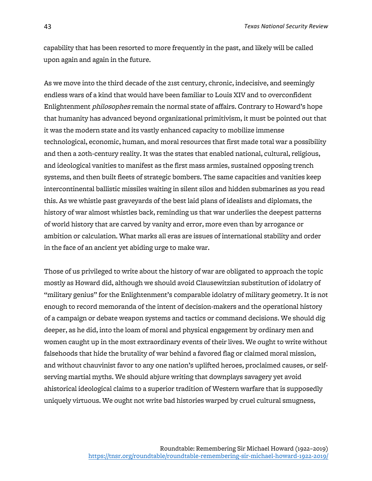capability that has been resorted to more frequently in the past, and likely will be called upon again and again in the future.

As we move into the third decade of the 21st century, chronic, indecisive, and seemingly endless wars of a kind that would have been familiar to Louis XIV and to overconfident Enlightenment philosophes remain the normal state of affairs. Contrary to Howard's hope that humanity has advanced beyond organizational primitivism, it must be pointed out that it was the modern state and its vastly enhanced capacity to mobilize immense technological, economic, human, and moral resources that first made total war a possibility and then a 20th-century reality. It was the states that enabled national, cultural, religious, and ideological vanities to manifest as the first mass armies, sustained opposing trench systems, and then built fleets of strategic bombers. The same capacities and vanities keep intercontinental ballistic missiles waiting in silent silos and hidden submarines as you read this. As we whistle past graveyards of the best laid plans of idealists and diplomats, the history of war almost whistles back, reminding us that war underlies the deepest patterns of world history that are carved by vanity and error, more even than by arrogance or ambition or calculation. What marks all eras are issues of international stability and order in the face of an ancient yet abiding urge to make war.

Those of us privileged to write about the history of war are obligated to approach the topic mostly as Howard did, although we should avoid Clausewitzian substitution of idolatry of "military genius" for the Enlightenment's comparable idolatry of military geometry. It is not enough to record memoranda of the intent of decision-makers and the operational history of a campaign or debate weapon systems and tactics or command decisions. We should dig deeper, as he did, into the loam of moral and physical engagement by ordinary men and women caught up in the most extraordinary events of their lives. We ought to write without falsehoods that hide the brutality of war behind a favored flag or claimed moral mission, and without chauvinist favor to any one nation's uplifted heroes, proclaimed causes, or selfserving martial myths. We should abjure writing that downplays savagery yet avoid ahistorical ideological claims to a superior tradition of Western warfare that is supposedly uniquely virtuous. We ought not write bad histories warped by cruel cultural smugness,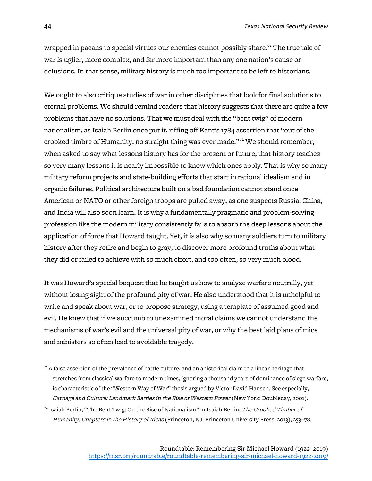wrapped in paeans to special virtues our enemies cannot possibly share.<sup>71</sup> The true tale of war is uglier, more complex, and far more important than any one nation's cause or delusions. In that sense, military history is much too important to be left to historians.

We ought to also critique studies of war in other disciplines that look for final solutions to eternal problems. We should remind readers that history suggests that there are quite a few problems that have no solutions. That we must deal with the "bent twig" of modern nationalism, as Isaiah Berlin once put it, riffing off Kant's 1784 assertion that "out of the crooked timbre of Humanity, no straight thing was ever made."72 We should remember, when asked to say what lessons history has for the present or future, that history teaches so very many lessons it is nearly impossible to know which ones apply. That is why so many military reform projects and state-building efforts that start in rational idealism end in organic failures. Political architecture built on a bad foundation cannot stand once American or NATO or other foreign troops are pulled away, as one suspects Russia, China, and India will also soon learn. It is why a fundamentally pragmatic and problem-solving profession like the modern military consistently fails to absorb the deep lessons about the application of force that Howard taught. Yet, it is also why so many soldiers turn to military history after they retire and begin to gray, to discover more profound truths about what they did or failed to achieve with so much effort, and too often, so very much blood.

It was Howard's special bequest that he taught us how to analyze warfare neutrally, yet without losing sight of the profound pity of war. He also understood that it is unhelpful to write and speak about war, or to propose strategy, using a template of assumed good and evil. He knew that if we succumb to unexamined moral claims we cannot understand the mechanisms of war's evil and the universal pity of war, or why the best laid plans of mice and ministers so often lead to avoidable tragedy.

 $71$  A false assertion of the prevalence of battle culture, and an ahistorical claim to a linear heritage that stretches from classical warfare to modern times, ignoring a thousand years of dominance of siege warfare, is characteristic of the "Western Way of War" thesis argued by Victor David Hansen. See especially, Carnage and Culture: Landmark Battles in the Rise of Western Power (New York: Doubleday, 2001).

 $^{72}$  Isaiah Berlin, "The Bent Twig: On the Rise of Nationalism" in Isaiah Berlin, *The Crooked Timber of* Humanity: Chapters in the History of Ideas (Princeton, NJ: Princeton University Press, 2013), 253–78.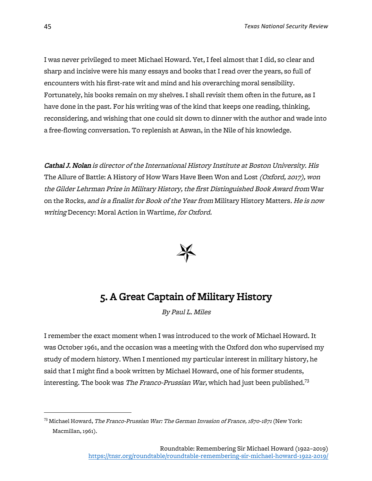I was never privileged to meet Michael Howard. Yet, I feel almost that I did, so clear and sharp and incisive were his many essays and books that I read over the years, so full of encounters with his first-rate wit and mind and his overarching moral sensibility. Fortunately, his books remain on my shelves. I shall revisit them often in the future, as I have done in the past. For his writing was of the kind that keeps one reading, thinking, reconsidering, and wishing that one could sit down to dinner with the author and wade into a free-flowing conversation. To replenish at Aswan, in the Nile of his knowledge.

Cathal J. Nolan is director of the International History Institute at Boston University. His The Allure of Battle: A History of How Wars Have Been Won and Lost (Oxford, 2017), won the Gilder Lehrman Prize in Military History, the first Distinguished Book Award from War on the Rocks, and is a finalist for Book of the Year from Military History Matters. He is now writing Decency: Moral Action in Wartime, for Oxford.



## 5. A Great Captain of Military History

By Paul L. Miles

I remember the exact moment when I was introduced to the work of Michael Howard. It was October 1961, and the occasion was a meeting with the Oxford don who supervised my study of modern history. When I mentioned my particular interest in military history, he said that I might find a book written by Michael Howard, one of his former students, interesting. The book was *The Franco-Prussian War*, which had just been published.<sup>73</sup>

 $^{73}$  Michael Howard, *The Franco-Prussian War: The German Invasion of France, 1870-1871* (New York: Macmillan, 1961).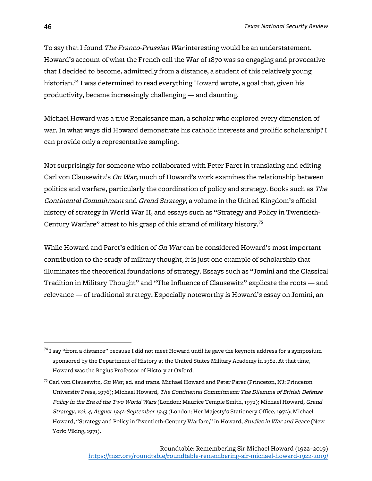To say that I found *The Franco-Prussian War* interesting would be an understatement. Howard's account of what the French call the War of 1870 was so engaging and provocative that I decided to become, admittedly from a distance, a student of this relatively young historian.<sup>74</sup> I was determined to read everything Howard wrote, a goal that, given his productivity, became increasingly challenging — and daunting.

Michael Howard was a true Renaissance man, a scholar who explored every dimension of war. In what ways did Howard demonstrate his catholic interests and prolific scholarship? I can provide only a representative sampling.

Not surprisingly for someone who collaborated with Peter Paret in translating and editing Carl von Clausewitz's On War, much of Howard's work examines the relationship between politics and warfare, particularly the coordination of policy and strategy. Books such as The Continental Commitment and Grand Strategy, a volume in the United Kingdom's official history of strategy in World War II, and essays such as "Strategy and Policy in Twentieth-Century Warfare" attest to his grasp of this strand of military history.<sup>75</sup>

While Howard and Paret's edition of *On War* can be considered Howard's most important contribution to the study of military thought, it is just one example of scholarship that illuminates the theoretical foundations of strategy. Essays such as "Jomini and the Classical Tradition in Military Thought" and "The Influence of Clausewitz" explicate the roots — and relevance — of traditional strategy. Especially noteworthy is Howard's essay on Jomini, an

 $^{74}$  I say "from a distance" because I did not meet Howard until he gave the keynote address for a symposium sponsored by the Department of History at the United States Military Academy in 1982. At that time, Howard was the Regius Professor of History at Oxford.

 $^{75}$  Carl von Clausewitz, *On War*, ed. and trans. Michael Howard and Peter Paret (Princeton, NJ: Princeton University Press, 1976); Michael Howard, The Continental Commitment: The Dilemma of British Defense Policy in the Era of the Two World Wars (London: Maurice Temple Smith, 1972); Michael Howard, Grand Strategy, vol. 4, August 1942-September 1943 (London: Her Majesty's Stationery Office, 1972); Michael Howard, "Strategy and Policy in Twentieth-Century Warfare," in Howard, Studies in War and Peace (New York: Viking, 1971).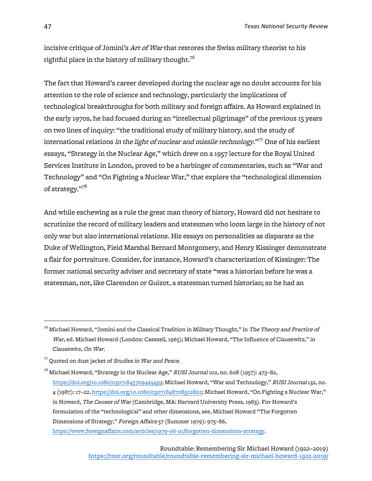incisive critique of Jomini's Art of War that restores the Swiss military theorist to his rightful place in the history of military thought.<sup>76</sup>

The fact that Howard's career developed during the nuclear age no doubt accounts for his attention to the role of science and technology, particularly the implications of technological breakthroughs for both military and foreign affairs. As Howard explained in the early 1970s, he had focused during an "intellectual pilgrimage" of the previous 15 years on two lines of inquiry: "the traditional study of military history, and the study of international relations in the light of nuclear and missile technology."<sup>77</sup> One of his earliest essays, "Strategy in the Nuclear Age," which drew on a 1957 lecture for the Royal United Services Institute in London, proved to be a harbinger of commentaries, such as "War and Technology" and "On Fighting a Nuclear War," that explore the "technological dimension of strategy."<sup>78</sup>

And while eschewing as a rule the great man theory of history, Howard did not hesitate to scrutinize the record of military leaders and statesmen who loom large in the history of not only war but also international relations. His essays on personalities as disparate as the Duke of Wellington, Field Marshal Bernard Montgomery, and Henry Kissinger demonstrate a flair for portraiture. Consider, for instance, Howard's characterization of Kissinger: The former national security adviser and secretary of state "was a historian before he was a statesman, not, like Clarendon or Guizot, a statesman turned historian; so he had an

 $^{76}$  Michael Howard, "Jomini and the Classical Tradition in Military Thought," in *The Theory and Practice of* War, ed. Michael Howard (London: Casssell, 1965); Michael Howard, "The Influence of Clausewitz," in Clausewitz, On War.

 $77$  Quoted on dust jacket of *Studies in War and Peace*.

 $^{78}$  Michael Howard, "Strategy in the Nuclear Age," *RUSI Journal* 102, no. 608 (1957): 473-82, https://doi.org/10.1080/03071845709423439; Michael Howard, "War and Technology," RUSI Journal 132, no. 4 (1987): 17–22, https://doi.org/10.1080/03071848708522802; Michael Howard, "On Fighting a Nuclear War," in Howard, The Causes of War (Cambridge, MA: Harvard University Press, 1983). For Howard's formulation of the "technological" and other dimensions, see, Michael Howard "The Forgotten Dimensions of Strategy," Foreign Affairs 57 (Summer 1979): 975–86, https://www.foreignaffairs.com/articles/1979-06-01/forgotten-dimensions-strategy.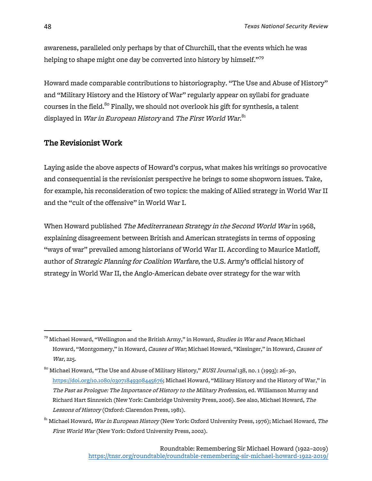awareness, paralleled only perhaps by that of Churchill, that the events which he was helping to shape might one day be converted into history by himself."<sup>79</sup>

Howard made comparable contributions to historiography. "The Use and Abuse of History" and "Military History and the History of War" regularly appear on syllabi for graduate courses in the field.<sup>80</sup> Finally, we should not overlook his gift for synthesis, a talent displayed in *War in European History* and *The First World War*.<sup>81</sup>

#### The Revisionist Work

 

Laying aside the above aspects of Howard's corpus, what makes his writings so provocative and consequential is the revisionist perspective he brings to some shopworn issues. Take, for example, his reconsideration of two topics: the making of Allied strategy in World War II and the "cult of the offensive" in World War I.

When Howard published The Mediterranean Strategy in the Second World War in 1968, explaining disagreement between British and American strategists in terms of opposing "ways of war" prevailed among historians of World War II. According to Maurice Matloff, author of Strategic Planning for Coalition Warfare, the U.S. Army's official history of strategy in World War II, the Anglo-American debate over strategy for the war with

 $^{79}$  Michael Howard, "Wellington and the British Army," in Howard, *Studies in War and Peace*; Michael Howard, "Montgomery," in Howard, Causes of War; Michael Howard, "Kissinger," in Howard, Causes of War, 225.

 $^{\rm 80}$  Michael Howard, "The Use and Abuse of Military History," *RUSI Journal* 138, no. 1 (1993): 26–30, https://doi.org/10.1080/03071849308445676; Michael Howard, "Military History and the History of War," in The Past as Prologue: The Importance of History to the Military Profession, ed. Williamson Murray and Richard Hart Sinnreich (New York: Cambridge University Press, 2006). See also, Michael Howard, The Lessons of History (Oxford: Clarendon Press, 1981).

 $^{81}$  Michael Howard, *War in European History* (New York: Oxford University Press, 1976); Michael Howard, *The* First World War (New York: Oxford University Press, 2002).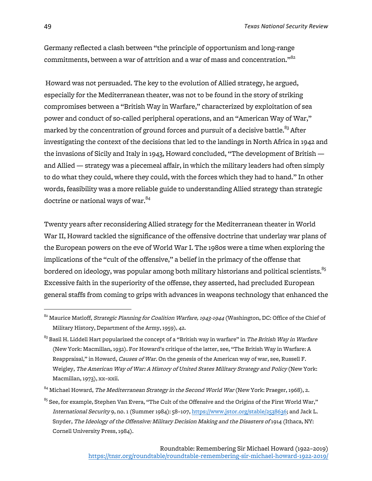Germany reflected a clash between "the principle of opportunism and long-range commitments, between a war of attrition and a war of mass and concentration." $82$ 

Howard was not persuaded. The key to the evolution of Allied strategy, he argued, especially for the Mediterranean theater, was not to be found in the story of striking compromises between a "British Way in Warfare," characterized by exploitation of sea power and conduct of so-called peripheral operations, and an "American Way of War," marked by the concentration of ground forces and pursuit of a decisive battle.<sup>83</sup> After investigating the context of the decisions that led to the landings in North Africa in 1942 and the invasions of Sicily and Italy in 1943, Howard concluded, "The development of British and Allied — strategy was a piecemeal affair, in which the military leaders had often simply to do what they could, where they could, with the forces which they had to hand." In other words, feasibility was a more reliable guide to understanding Allied strategy than strategic doctrine or national ways of war.<sup>84</sup>

Twenty years after reconsidering Allied strategy for the Mediterranean theater in World War II, Howard tackled the significance of the offensive doctrine that underlay war plans of the European powers on the eve of World War I. The 1980s were a time when exploring the implications of the "cult of the offensive," a belief in the primacy of the offense that bordered on ideology, was popular among both military historians and political scientists.<sup>85</sup> Excessive faith in the superiority of the offense, they asserted, had precluded European general staffs from coming to grips with advances in weapons technology that enhanced the

 $82$  Maurice Matloff, *Strategic Planning for Coalition Warfare, 1943-1944* (Washington, DC: Office of the Chief of Military History, Department of the Army, 1959), 42.

 $^{83}$  Basil H. Liddell Hart popularized the concept of a "British way in warfare" in *The British Way in Warfare* (New York: Macmillan, 1932). For Howard's critique of the latter, see, "The British Way in Warfare: A Reappraisal," in Howard, Causes of War. On the genesis of the American way of war, see, Russell F. Weigley, The American Way of War: A History of United States Military Strategy and Policy (New York: Macmillan, 1973), xx–xxii.

 $^{84}$  Michael Howard, *The Mediterranean Strategy in the Second World War* (New York: Praeger, 1968), 2.

 $^{85}$  See, for example, Stephen Van Evera, "The Cult of the Offensive and the Origins of the First World War," International Security 9, no. 1 (Summer 1984): 58–107, https://www.jstor.org/stable/2538636; and Jack L. Snyder, The Ideology of the Offensive: Military Decision Making and the Disasters of 1914 (Ithaca, NY: Cornell University Press, 1984).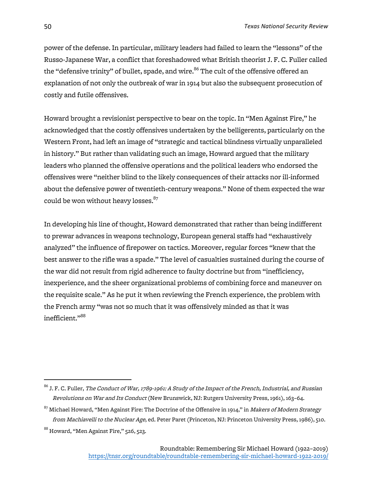power of the defense. In particular, military leaders had failed to learn the "lessons" of the Russo-Japanese War, a conflict that foreshadowed what British theorist J. F. C. Fuller called the "defensive trinity" of bullet, spade, and wire.<sup>86</sup> The cult of the offensive offered an explanation of not only the outbreak of war in 1914 but also the subsequent prosecution of costly and futile offensives.

Howard brought a revisionist perspective to bear on the topic. In "Men Against Fire," he acknowledged that the costly offensives undertaken by the belligerents, particularly on the Western Front, had left an image of "strategic and tactical blindness virtually unparalleled in history." But rather than validating such an image, Howard argued that the military leaders who planned the offensive operations and the political leaders who endorsed the offensives were "neither blind to the likely consequences of their attacks nor ill-informed about the defensive power of twentieth-century weapons." None of them expected the war could be won without heavy losses.<sup>87</sup>

In developing his line of thought, Howard demonstrated that rather than being indifferent to prewar advances in weapons technology, European general staffs had "exhaustively analyzed" the influence of firepower on tactics. Moreover, regular forces "knew that the best answer to the rifle was a spade." The level of casualties sustained during the course of the war did not result from rigid adherence to faulty doctrine but from "inefficiency, inexperience, and the sheer organizational problems of combining force and maneuver on the requisite scale." As he put it when reviewing the French experience, the problem with the French army "was not so much that it was offensively minded as that it was inefficient."88

 $^{86}$  J. F. C. Fuller, *The Conduct of War, 1789-1961: A Study of the Impact of the French, Industrial, and Russian* Revolutions on War and Its Conduct (New Brunswick, NJ: Rutgers University Press, 1961), 163–64.

 $^{87}$  Michael Howard, "Men Against Fire: The Doctrine of the Offensive in 1914," in *Makers of Modern Strategy* from Machiavelli to the Nuclear Age, ed. Peter Paret (Princeton, NJ: Princeton University Press, 1986), 510.

<sup>&</sup>lt;sup>88</sup> Howard, "Men Against Fire," 526, 523.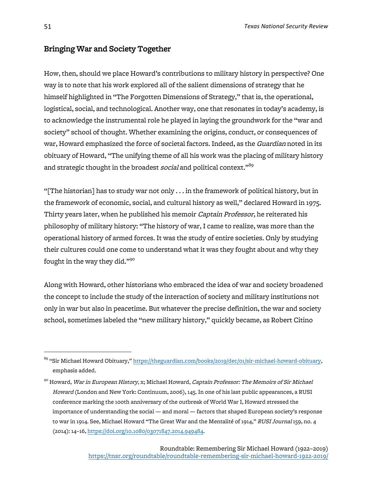#### Bringing War and Society Together

 

How, then, should we place Howard's contributions to military history in perspective? One way is to note that his work explored all of the salient dimensions of strategy that he himself highlighted in "The Forgotten Dimensions of Strategy," that is, the operational, logistical, social, and technological. Another way, one that resonates in today's academy, is to acknowledge the instrumental role he played in laying the groundwork for the "war and society" school of thought. Whether examining the origins, conduct, or consequences of war, Howard emphasized the force of societal factors. Indeed, as the Guardian noted in its obituary of Howard, "The unifying theme of all his work was the placing of military history and strategic thought in the broadest social and political context."<sup>89</sup>

"[The historian] has to study war not only . . . in the framework of political history, but in the framework of economic, social, and cultural history as well," declared Howard in 1975. Thirty years later, when he published his memoir *Captain Professor*, he reiterated his philosophy of military history: "The history of war, I came to realize, was more than the operational history of armed forces. It was the study of entire societies. Only by studying their cultures could one come to understand what it was they fought about and why they fought in the way they did."<sup>90</sup>

Along with Howard, other historians who embraced the idea of war and society broadened the concept to include the study of the interaction of society and military institutions not only in war but also in peacetime. But whatever the precise definition, the war and society school, sometimes labeled the "new military history," quickly became, as Robert Citino

<sup>&</sup>lt;sup>89</sup> "Sir Michael Howard Obituary," https://theguardian.com/books/2019/dec/01/sir-michael-howard-obituary, emphasis added.

 $9^\circ$  Howard, *War in European History,* x; Michael Howard, *Captain Professor: The Memoirs of Sir Michael* Howard (London and New York: Continuum, 2006), 145. In one of his last public appearances, a RUSI conference marking the 100th anniversary of the outbreak of World War I, Howard stressed the importance of understanding the social — and moral — factors that shaped European society's response to war in 1914. See, Michael Howard "The Great War and the Mentalité of 1914," RUSI Journal 159, no. 4 (2014): 14–16, https://doi.org/10.1080/03071847.2014.949484.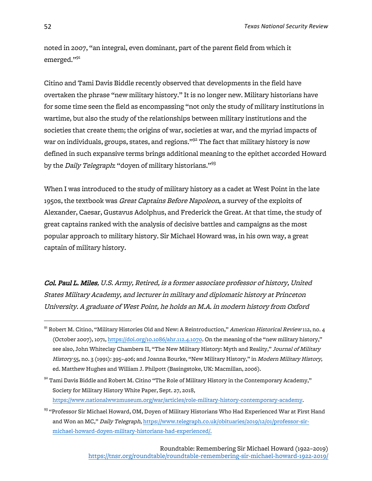noted in 2007, "an integral, even dominant, part of the parent field from which it emerged."<sup>91</sup>

Citino and Tami Davis Biddle recently observed that developments in the field have overtaken the phrase "new military history." It is no longer new. Military historians have for some time seen the field as encompassing "not only the study of military institutions in wartime, but also the study of the relationships between military institutions and the societies that create them; the origins of war, societies at war, and the myriad impacts of war on individuals, groups, states, and regions."<sup>92</sup> The fact that military history is now defined in such expansive terms brings additional meaning to the epithet accorded Howard by the *Daily Telegraph*: "doyen of military historians."<sup>93</sup>

When I was introduced to the study of military history as a cadet at West Point in the late 1950s, the textbook was Great Captains Before Napoleon, a survey of the exploits of Alexander, Caesar, Gustavus Adolphus, and Frederick the Great. At that time, the study of great captains ranked with the analysis of decisive battles and campaigns as the most popular approach to military history. Sir Michael Howard was, in his own way, a great captain of military history.

Col. Paul L. Miles, U.S. Army, Retired, is a former associate professor of history, United States Military Academy, and lecturer in military and diplomatic history at Princeton University. A graduate of West Point, he holds an M.A. in modern history from Oxford

 $91$  Robert M. Citino, "Military Histories Old and New: A Reintroduction," American Historical Review 112, no. 4 (October 2007), 1071, https://doi.org/10.1086/ahr.112.4.1070. On the meaning of the "new military history," see also, John Whiteclay Chambers II, "The New Military History: Myth and Reality," Journal of Military History 55, no. 3 (1991): 395–406; and Joanna Bourke, "New Military History," in Modern Military History, ed. Matthew Hughes and William J. Philpott (Basingstoke, UK: Macmillan, 2006).

 $92$  Tami Davis Biddle and Robert M. Citino "The Role of Military History in the Contemporary Academy," Society for Military History White Paper, Sept. 27, 2018, https://www.nationalww2museum.org/war/articles/role-military-history-contemporary-academy.

 $93$  "Professor Sir Michael Howard, OM, Doyen of Military Historians Who Had Experienced War at First Hand and Won an MC," Daily Telegraph, https://www.telegraph.co.uk/obituaries/2019/12/01/professor-sirmichael-howard-doyen-military-historians-had-experienced/.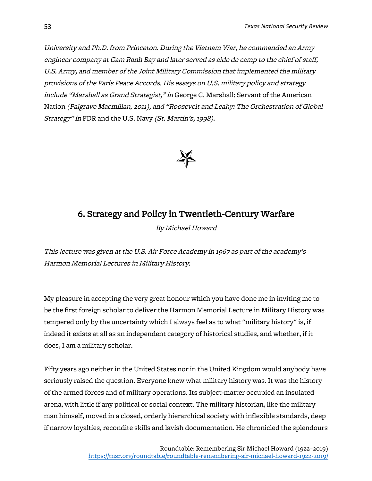University and Ph.D. from Princeton. During the Vietnam War, he commanded an Army engineer company at Cam Ranh Bay and later served as aide de camp to the chief of staff, U.S. Army, and member of the Joint Military Commission that implemented the military provisions of the Paris Peace Accords. His essays on U.S. military policy and strategy include "Marshall as Grand Strategist," in George C. Marshall: Servant of the American Nation (Palgrave Macmillan, 2011), and "Roosevelt and Leahy: The Orchestration of Global Strategy" in FDR and the U.S. Navy (St. Martin's, 1998).



### 6. Strategy and Policy in Twentieth-Century Warfare

By Michael Howard

This lecture was given at the U.S. Air Force Academy in 1967 as part of the academy's Harmon Memorial Lectures in Military History.

My pleasure in accepting the very great honour which you have done me in inviting me to be the first foreign scholar to deliver the Harmon Memorial Lecture in Military History was tempered only by the uncertainty which I always feel as to what "military history" is, if indeed it exists at all as an independent category of historical studies, and whether, if it does, I am a military scholar.

Fifty years ago neither in the United States nor in the United Kingdom would anybody have seriously raised the question. Everyone knew what military history was. It was the history of the armed forces and of military operations. Its subject-matter occupied an insulated arena, with little if any political or social context. The military historian, like the military man himself, moved in a closed, orderly hierarchical society with inflexible standards, deep if narrow loyalties, recondite skills and lavish documentation. He chronicled the splendours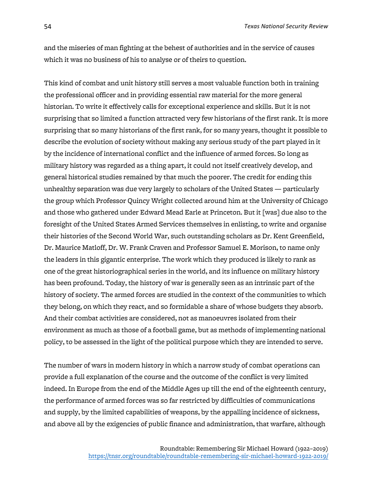and the miseries of man fighting at the behest of authorities and in the service of causes which it was no business of his to analyse or of theirs to question.

This kind of combat and unit history still serves a most valuable function both in training the professional officer and in providing essential raw material for the more general historian. To write it effectively calls for exceptional experience and skills. But it is not surprising that so limited a function attracted very few historians of the first rank. It is more surprising that so many historians of the first rank, for so many years, thought it possible to describe the evolution of society without making any serious study of the part played in it by the incidence of international conflict and the influence of armed forces. So long as military history was regarded as a thing apart, it could not itself creatively develop, and general historical studies remained by that much the poorer. The credit for ending this unhealthy separation was due very largely to scholars of the United States — particularly the group which Professor Quincy Wright collected around him at the University of Chicago and those who gathered under Edward Mead Earle at Princeton. But it [was] due also to the foresight of the United States Armed Services themselves in enlisting, to write and organise their histories of the Second World War, such outstanding scholars as Dr. Kent Greenfield, Dr. Maurice Matloff, Dr. W. Frank Craven and Professor Samuel E. Morison, to name only the leaders in this gigantic enterprise. The work which they produced is likely to rank as one of the great historiographical series in the world, and its influence on military history has been profound. Today, the history of war is generally seen as an intrinsic part of the history of society. The armed forces are studied in the context of the communities to which they belong, on which they react, and so formidable a share of whose budgets they absorb. And their combat activities are considered, not as manoeuvres isolated from their environment as much as those of a football game, but as methods of implementing national policy, to be assessed in the light of the political purpose which they are intended to serve.

The number of wars in modern history in which a narrow study of combat operations can provide a full explanation of the course and the outcome of the conflict is very limited indeed. In Europe from the end of the Middle Ages up till the end of the eighteenth century, the performance of armed forces was so far restricted by difficulties of communications and supply, by the limited capabilities of weapons, by the appalling incidence of sickness, and above all by the exigencies of public finance and administration, that warfare, although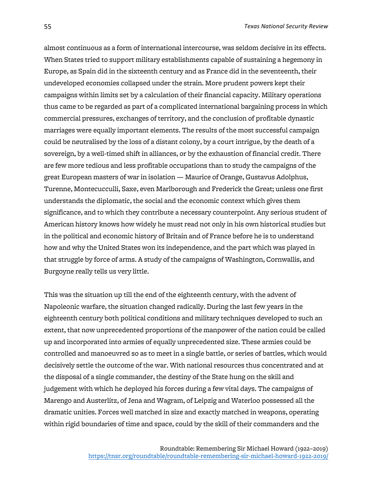almost continuous as a form of international intercourse, was seldom decisive in its effects. When States tried to support military establishments capable of sustaining a hegemony in Europe, as Spain did in the sixteenth century and as France did in the seventeenth, their undeveloped economies collapsed under the strain. More prudent powers kept their campaigns within limits set by a calculation of their financial capacity. Military operations thus came to be regarded as part of a complicated international bargaining process in which commercial pressures, exchanges of territory, and the conclusion of profitable dynastic marriages were equally important elements. The results of the most successful campaign could be neutralised by the loss of a distant colony, by a court intrigue, by the death of a sovereign, by a well-timed shift in alliances, or by the exhaustion of financial credit. There are few more tedious and less profitable occupations than to study the campaigns of the great European masters of war in isolation — Maurice of Orange, Gustavus Adolphus, Turenne, Montecucculli, Saxe, even Marlborough and Frederick the Great; unless one first understands the diplomatic, the social and the economic context which gives them significance, and to which they contribute a necessary counterpoint. Any serious student of American history knows how widely he must read not only in his own historical studies but in the political and economic history of Britain and of France before he is to understand how and why the United States won its independence, and the part which was played in that struggle by force of arms. A study of the campaigns of Washington, Cornwallis, and Burgoyne really tells us very little.

This was the situation up till the end of the eighteenth century, with the advent of Napoleonic warfare, the situation changed radically. During the last few years in the eighteenth century both political conditions and military techniques developed to such an extent, that now unprecedented proportions of the manpower of the nation could be called up and incorporated into armies of equally unprecedented size. These armies could be controlled and manoeuvred so as to meet in a single battle, or series of battles, which would decisively settle the outcome of the war. With national resources thus concentrated and at the disposal of a single commander, the destiny of the State hung on the skill and judgement with which he deployed his forces during a few vital days. The campaigns of Marengo and Austerlitz, of Jena and Wagram, of Leipzig and Waterloo possessed all the dramatic unities. Forces well matched in size and exactly matched in weapons, operating within rigid boundaries of time and space, could by the skill of their commanders and the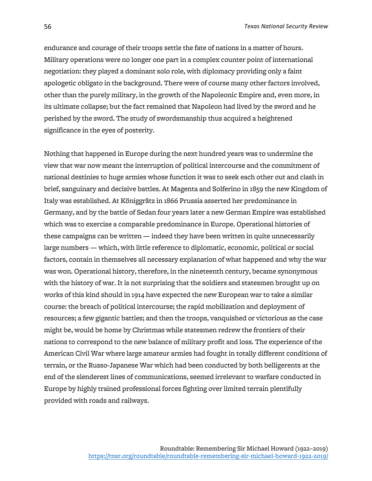endurance and courage of their troops settle the fate of nations in a matter of hours. Military operations were no longer one part in a complex counter point of international negotiation: they played a dominant solo role, with diplomacy providing only a faint apologetic obligato in the background. There were of course many other factors involved, other than the purely military, in the growth of the Napoleonic Empire and, even more, in its ultimate collapse; but the fact remained that Napoleon had lived by the sword and he perished by the sword. The study of swordsmanship thus acquired a heightened significance in the eyes of posterity.

Nothing that happened in Europe during the next hundred years was to undermine the view that war now meant the interruption of political intercourse and the commitment of national destinies to huge armies whose function it was to seek each other out and clash in brief, sanguinary and decisive battles. At Magenta and Solferino in 1859 the new Kingdom of Italy was established. At Königgrätz in 1866 Prussia asserted her predominance in Germany, and by the battle of Sedan four years later a new German Empire was established which was to exercise a comparable predominance in Europe. Operational histories of these campaigns can be written — indeed they have been written in quite unnecessarily large numbers — which, with little reference to diplomatic, economic, political or social factors, contain in themselves all necessary explanation of what happened and why the war was won. Operational history, therefore, in the nineteenth century, became synonymous with the history of war. It is not surprising that the soldiers and statesmen brought up on works of this kind should in 1914 have expected the new European war to take a similar course: the breach of political intercourse; the rapid mobilization and deployment of resources; a few gigantic battles; and then the troops, vanquished or victorious as the case might be, would be home by Christmas while statesmen redrew the frontiers of their nations to correspond to the new balance of military profit and loss. The experience of the American Civil War where large amateur armies had fought in totally different conditions of terrain, or the Russo-Japanese War which had been conducted by both belligerents at the end of the slenderest lines of communications, seemed irrelevant to warfare conducted in Europe by highly trained professional forces fighting over limited terrain plentifully provided with roads and railways.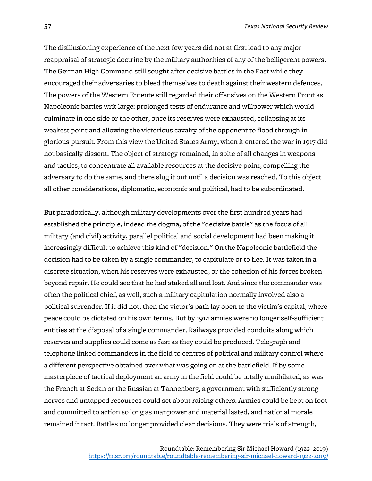The disillusioning experience of the next few years did not at first lead to any major reappraisal of strategic doctrine by the military authorities of any of the belligerent powers. The German High Command still sought after decisive battles in the East while they encouraged their adversaries to bleed themselves to death against their western defences. The powers of the Western Entente still regarded their offensives on the Western Front as Napoleonic battles writ large: prolonged tests of endurance and willpower which would culminate in one side or the other, once its reserves were exhausted, collapsing at its weakest point and allowing the victorious cavalry of the opponent to flood through in glorious pursuit. From this view the United States Army, when it entered the war in 1917 did not basically dissent. The object of strategy remained, in spite of all changes in weapons and tactics, to concentrate all available resources at the decisive point, compelling the adversary to do the same, and there slug it out until a decision was reached. To this object all other considerations, diplomatic, economic and political, had to be subordinated.

But paradoxically, although military developments over the first hundred years had established the principle, indeed the dogma, of the "decisive battle" as the focus of all military (and civil) activity, parallel political and social development had been making it increasingly difficult to achieve this kind of "decision." On the Napoleonic battlefield the decision had to be taken by a single commander, to capitulate or to flee. It was taken in a discrete situation, when his reserves were exhausted, or the cohesion of his forces broken beyond repair. He could see that he had staked all and lost. And since the commander was often the political chief, as well, such a military capitulation normally involved also a political surrender. If it did not, then the victor's path lay open to the victim's capital, where peace could be dictated on his own terms. But by 1914 armies were no longer self-sufficient entities at the disposal of a single commander. Railways provided conduits along which reserves and supplies could come as fast as they could be produced. Telegraph and telephone linked commanders in the field to centres of political and military control where a different perspective obtained over what was going on at the battlefield. If by some masterpiece of tactical deployment an army in the field could be totally annihilated, as was the French at Sedan or the Russian at Tannenberg, a government with sufficiently strong nerves and untapped resources could set about raising others. Armies could be kept on foot and committed to action so long as manpower and material lasted, and national morale remained intact. Battles no longer provided clear decisions. They were trials of strength,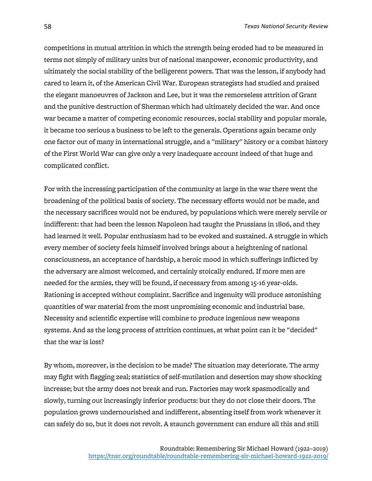competitions in mutual attrition in which the strength being eroded had to be measured in terms not simply of military units but of national manpower, economic productivity, and ultimately the social stability of the belligerent powers. That was the lesson, if anybody had cared to learn it, of the American Civil War. European strategists had studied and praised the elegant manoeuvres of Jackson and Lee, but it was the remorseless attrition of Grant and the punitive destruction of Sherman which had ultimately decided the war. And once war became a matter of competing economic resources, social stability and popular morale, it became too serious a business to be left to the generals. Operations again became only one factor out of many in international struggle, and a "military" history or a combat history of the First World War can give only a very inadequate account indeed of that huge and complicated conflict.

For with the increasing participation of the community at large in the war there went the broadening of the political basis of society. The necessary efforts would not be made, and the necessary sacrifices would not be endured, by populations which were merely servile or indifferent: that had been the lesson Napoleon had taught the Prussians in 1806, and they had learned it well. Popular enthusiasm had to be evoked and sustained. A struggle in which every member of society feels himself involved brings about a heightening of national consciousness, an acceptance of hardship, a heroic mood in which sufferings inflicted by the adversary are almost welcomed, and certainly stoically endured. If more men are needed for the armies, they will be found, if necessary from among 15-16 year-olds. Rationing is accepted without complaint. Sacrifice and ingenuity will produce astonishing quantities of war material from the most unpromising economic and industrial base. Necessity and scientific expertise will combine to produce ingenious new weapons systems. And as the long process of attrition continues, at what point can it be "decided" that the war is lost?

By whom, moreover, is the decision to be made? The situation may deteriorate. The army may fight with flagging zeal; statistics of self-mutilation and desertion may show shocking increase; but the army does not break and run. Factories may work spasmodically and slowly, turning out increasingly inferior products: but they do not close their doors. The population grows undernourished and indifferent, absenting itself from work whenever it can safely do so, but it does not revolt. A staunch government can endure all this and still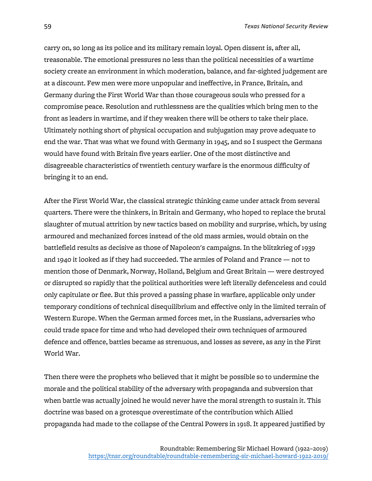carry on, so long as its police and its military remain loyal. Open dissent is, after all, treasonable. The emotional pressures no less than the political necessities of a wartime society create an environment in which moderation, balance, and far-sighted judgement are at a discount. Few men were more unpopular and ineffective, in France, Britain, and Germany during the First World War than those courageous souls who pressed for a compromise peace. Resolution and ruthlessness are the qualities which bring men to the front as leaders in wartime, and if they weaken there will be others to take their place. Ultimately nothing short of physical occupation and subjugation may prove adequate to end the war. That was what we found with Germany in 1945, and so I suspect the Germans would have found with Britain five years earlier. One of the most distinctive and disagreeable characteristics of twentieth century warfare is the enormous difficulty of bringing it to an end.

After the First World War, the classical strategic thinking came under attack from several quarters. There were the thinkers, in Britain and Germany, who hoped to replace the brutal slaughter of mutual attrition by new tactics based on mobility and surprise, which, by using armoured and mechanized forces instead of the old mass armies, would obtain on the battlefield results as decisive as those of Napoleon's campaigns. In the blitzkrieg of 1939 and 1940 it looked as if they had succeeded. The armies of Poland and France — not to mention those of Denmark, Norway, Holland, Belgium and Great Britain — were destroyed or disrupted so rapidly that the political authorities were left literally defenceless and could only capitulate or flee. But this proved a passing phase in warfare, applicable only under temporary conditions of technical disequilibrium and effective only in the limited terrain of Western Europe. When the German armed forces met, in the Russians, adversaries who could trade space for time and who had developed their own techniques of armoured defence and offence, battles became as strenuous, and losses as severe, as any in the First World War.

Then there were the prophets who believed that it might be possible so to undermine the morale and the political stability of the adversary with propaganda and subversion that when battle was actually joined he would never have the moral strength to sustain it. This doctrine was based on a grotesque overestimate of the contribution which Allied propaganda had made to the collapse of the Central Powers in 1918. It appeared justified by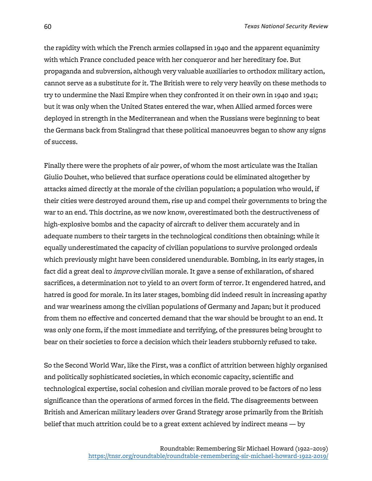the rapidity with which the French armies collapsed in 1940 and the apparent equanimity with which France concluded peace with her conqueror and her hereditary foe. But propaganda and subversion, although very valuable auxiliaries to orthodox military action, cannot serve as a substitute for it. The British were to rely very heavily on these methods to try to undermine the Nazi Empire when they confronted it on their own in 1940 and 1941; but it was only when the United States entered the war, when Allied armed forces were deployed in strength in the Mediterranean and when the Russians were beginning to beat the Germans back from Stalingrad that these political manoeuvres began to show any signs of success.

Finally there were the prophets of air power, of whom the most articulate was the Italian Giulio Douhet, who believed that surface operations could be eliminated altogether by attacks aimed directly at the morale of the civilian population; a population who would, if their cities were destroyed around them, rise up and compel their governments to bring the war to an end. This doctrine, as we now know, overestimated both the destructiveness of high-explosive bombs and the capacity of aircraft to deliver them accurately and in adequate numbers to their targets in the technological conditions then obtaining; while it equally underestimated the capacity of civilian populations to survive prolonged ordeals which previously might have been considered unendurable. Bombing, in its early stages, in fact did a great deal to *improve* civilian morale. It gave a sense of exhilaration, of shared sacrifices, a determination not to yield to an overt form of terror. It engendered hatred, and hatred is good for morale. In its later stages, bombing did indeed result in increasing apathy and war weariness among the civilian populations of Germany and Japan; but it produced from them no effective and concerted demand that the war should be brought to an end. It was only one form, if the most immediate and terrifying, of the pressures being brought to bear on their societies to force a decision which their leaders stubbornly refused to take.

So the Second World War, like the First, was a conflict of attrition between highly organised and politically sophisticated societies, in which economic capacity, scientific and technological expertise, social cohesion and civilian morale proved to be factors of no less significance than the operations of armed forces in the field. The disagreements between British and American military leaders over Grand Strategy arose primarily from the British belief that much attrition could be to a great extent achieved by indirect means — by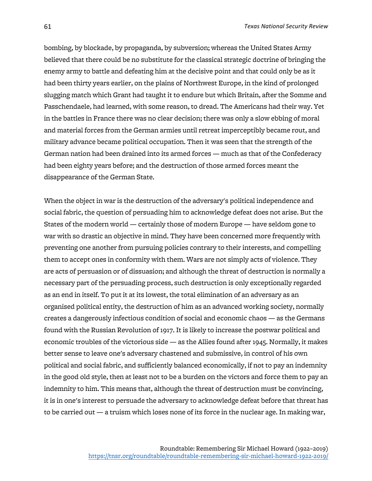bombing, by blockade, by propaganda, by subversion; whereas the United States Army believed that there could be no substitute for the classical strategic doctrine of bringing the enemy army to battle and defeating him at the decisive point and that could only be as it had been thirty years earlier, on the plains of Northwest Europe, in the kind of prolonged slugging match which Grant had taught it to endure but which Britain, after the Somme and Passchendaele, had learned, with some reason, to dread. The Americans had their way. Yet in the battles in France there was no clear decision; there was only a slow ebbing of moral and material forces from the German armies until retreat imperceptibly became rout, and military advance became political occupation. Then it was seen that the strength of the German nation had been drained into its armed forces — much as that of the Confederacy had been eighty years before; and the destruction of those armed forces meant the disappearance of the German State.

When the object in war is the destruction of the adversary's political independence and social fabric, the question of persuading him to acknowledge defeat does not arise. But the States of the modern world — certainly those of modern Europe — have seldom gone to war with so drastic an objective in mind. They have been concerned more frequently with preventing one another from pursuing policies contrary to their interests, and compelling them to accept ones in conformity with them. Wars are not simply acts of violence. They are acts of persuasion or of dissuasion; and although the threat of destruction is normally a necessary part of the persuading process, such destruction is only exceptionally regarded as an end in itself. To put it at its lowest, the total elimination of an adversary as an organised political entity, the destruction of him as an advanced working society, normally creates a dangerously infectious condition of social and economic chaos — as the Germans found with the Russian Revolution of 1917. It is likely to increase the postwar political and economic troubles of the victorious side — as the Allies found after 1945. Normally, it makes better sense to leave one's adversary chastened and submissive, in control of his own political and social fabric, and sufficiently balanced economically, if not to pay an indemnity in the good old style, then at least not to be a burden on the victors and force them to pay an indemnity to him. This means that, although the threat of destruction must be convincing, it is in one's interest to persuade the adversary to acknowledge defeat before that threat has to be carried out — a truism which loses none of its force in the nuclear age. In making war,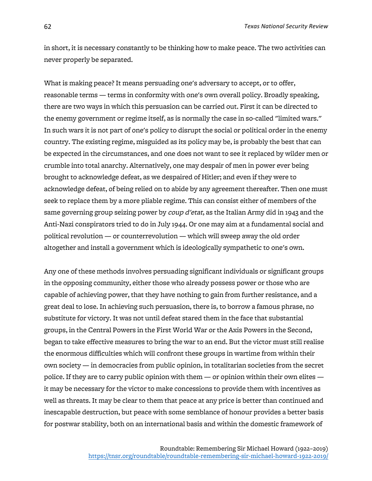in short, it is necessary constantly to be thinking how to make peace. The two activities can never properly be separated.

What is making peace? It means persuading one's adversary to accept, or to offer, reasonable terms — terms in conformity with one's own overall policy. Broadly speaking, there are two ways in which this persuasion can be carried out. First it can be directed to the enemy government or regime itself, as is normally the case in so-called "limited wars." In such wars it is not part of one's policy to disrupt the social or political order in the enemy country. The existing regime, misguided as its policy may be, is probably the best that can be expected in the circumstances, and one does not want to see it replaced by wilder men or crumble into total anarchy. Alternatively, one may despair of men in power ever being brought to acknowledge defeat, as we despaired of Hitler; and even if they were to acknowledge defeat, of being relied on to abide by any agreement thereafter. Then one must seek to replace them by a more pliable regime. This can consist either of members of the same governing group seizing power by coup d'etat, as the Italian Army did in 1943 and the Anti-Nazi conspirators tried to do in July 1944. Or one may aim at a fundamental social and political revolution — or counterrevolution — which will sweep away the old order altogether and install a government which is ideologically sympathetic to one's own.

Any one of these methods involves persuading significant individuals or significant groups in the opposing community, either those who already possess power or those who are capable of achieving power, that they have nothing to gain from further resistance, and a great deal to lose. In achieving such persuasion, there is, to borrow a famous phrase, no substitute for victory. It was not until defeat stared them in the face that substantial groups, in the Central Powers in the First World War or the Axis Powers in the Second, began to take effective measures to bring the war to an end. But the victor must still realise the enormous difficulties which will confront these groups in wartime from within their own society — in democracies from public opinion, in totalitarian societies from the secret police. If they are to carry public opinion with them — or opinion within their own elites it may be necessary for the victor to make concessions to provide them with incentives as well as threats. It may be clear to them that peace at any price is better than continued and inescapable destruction, but peace with some semblance of honour provides a better basis for postwar stability, both on an international basis and within the domestic framework of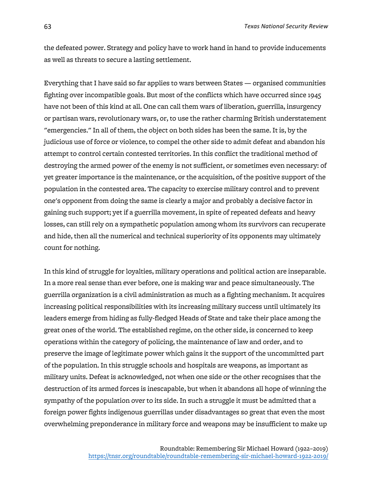the defeated power. Strategy and policy have to work hand in hand to provide inducements as well as threats to secure a lasting settlement.

Everything that I have said so far applies to wars between States — organised communities fighting over incompatible goals. But most of the conflicts which have occurred since 1945 have not been of this kind at all. One can call them wars of liberation, guerrilla, insurgency or partisan wars, revolutionary wars, or, to use the rather charming British understatement "emergencies." In all of them, the object on both sides has been the same. It is, by the judicious use of force or violence, to compel the other side to admit defeat and abandon his attempt to control certain contested territories. In this conflict the traditional method of destroying the armed power of the enemy is not sufficient, or sometimes even necessary: of yet greater importance is the maintenance, or the acquisition, of the positive support of the population in the contested area. The capacity to exercise military control and to prevent one's opponent from doing the same is clearly a major and probably a decisive factor in gaining such support; yet if a guerrilla movement, in spite of repeated defeats and heavy losses, can still rely on a sympathetic population among whom its survivors can recuperate and hide, then all the numerical and technical superiority of its opponents may ultimately count for nothing.

In this kind of struggle for loyalties, military operations and political action are inseparable. In a more real sense than ever before, one is making war and peace simultaneously. The guerrilla organization is a civil administration as much as a fighting mechanism. It acquires increasing political responsibilities with its increasing military success until ultimately its leaders emerge from hiding as fully-fledged Heads of State and take their place among the great ones of the world. The established regime, on the other side, is concerned to keep operations within the category of policing, the maintenance of law and order, and to preserve the image of legitimate power which gains it the support of the uncommitted part of the population. In this struggle schools and hospitals are weapons, as important as military units. Defeat is acknowledged, not when one side or the other recognises that the destruction of its armed forces is inescapable, but when it abandons all hope of winning the sympathy of the population over to its side. In such a struggle it must be admitted that a foreign power fights indigenous guerrillas under disadvantages so great that even the most overwhelming preponderance in military force and weapons may be insufficient to make up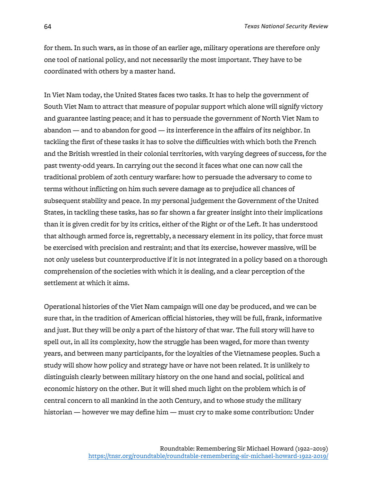for them. In such wars, as in those of an earlier age, military operations are therefore only one tool of national policy, and not necessarily the most important. They have to be coordinated with others by a master hand.

In Viet Nam today, the United States faces two tasks. It has to help the government of South Viet Nam to attract that measure of popular support which alone will signify victory and guarantee lasting peace; and it has to persuade the government of North Viet Nam to abandon — and to abandon for good — its interference in the affairs of its neighbor. In tackling the first of these tasks it has to solve the difficulties with which both the French and the British wrestled in their colonial territories, with varying degrees of success, for the past twenty-odd years. In carrying out the second it faces what one can now call the traditional problem of 20th century warfare: how to persuade the adversary to come to terms without inflicting on him such severe damage as to prejudice all chances of subsequent stability and peace. In my personal judgement the Government of the United States, in tackling these tasks, has so far shown a far greater insight into their implications than it is given credit for by its critics, either of the Right or of the Left. It has understood that although armed force is, regrettably, a necessary element in its policy, that force must be exercised with precision and restraint; and that its exercise, however massive, will be not only useless but counterproductive if it is not integrated in a policy based on a thorough comprehension of the societies with which it is dealing, and a clear perception of the settlement at which it aims.

Operational histories of the Viet Nam campaign will one day be produced, and we can be sure that, in the tradition of American official histories, they will be full, frank, informative and just. But they will be only a part of the history of that war. The full story will have to spell out, in all its complexity, how the struggle has been waged, for more than twenty years, and between many participants, for the loyalties of the Vietnamese peoples. Such a study will show how policy and strategy have or have not been related. It is unlikely to distinguish clearly between military history on the one hand and social, political and economic history on the other. But it will shed much light on the problem which is of central concern to all mankind in the 20th Century, and to whose study the military historian — however we may define him — must cry to make some contribution: Under